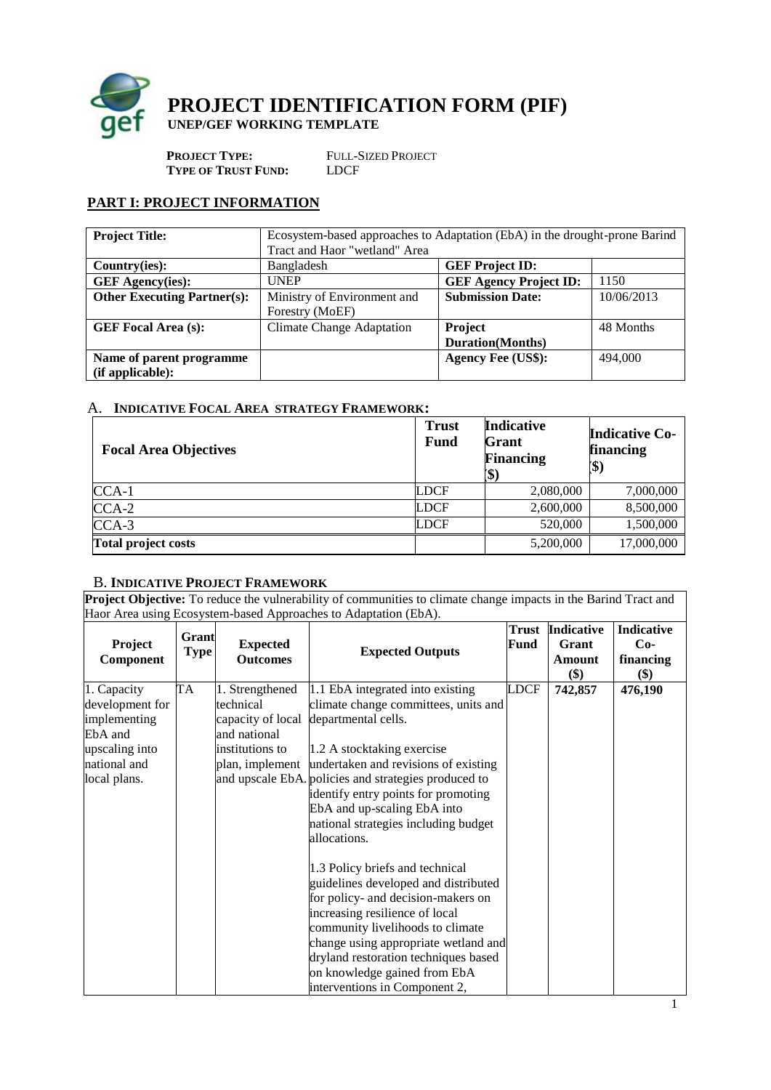

**PROJECT IDENTIFICATION FORM (PIF) UNEP/GEF WORKING TEMPLATE**

**PROJECT TYPE:** FULL-SIZED PROJECT **TYPE OF TRUST FUND:** LDCF

# **PART I: PROJECT INFORMATION**

| <b>Project Title:</b>                        | Ecosystem-based approaches to Adaptation (EbA) in the drought-prone Barind<br>Tract and Haor "wetland" Area |                                            |            |
|----------------------------------------------|-------------------------------------------------------------------------------------------------------------|--------------------------------------------|------------|
| Country(ies):                                | Bangladesh                                                                                                  | <b>GEF Project ID:</b>                     |            |
| <b>GEF</b> Agency(ies):                      | <b>UNEP</b>                                                                                                 | <b>GEF Agency Project ID:</b>              | 1150       |
| <b>Other Executing Partner(s):</b>           | Ministry of Environment and<br>Forestry (MoEF)                                                              | <b>Submission Date:</b>                    | 10/06/2013 |
| <b>GEF Focal Area (s):</b>                   | <b>Climate Change Adaptation</b>                                                                            | <b>Project</b><br><b>Duration</b> (Months) | 48 Months  |
| Name of parent programme<br>(if applicable): |                                                                                                             | <b>Agency Fee (US\$):</b>                  | 494,000    |

# A. **INDICATIVE FOCAL AREA STRATEGY FRAMEWORK:**

| <b>Focal Area Objectives</b> | <b>Trust</b><br><b>Fund</b> | <b>Indicative</b><br>Grant<br><b>Financing</b><br>$\mathbf{\$}$ | <b>Indicative Co-</b><br>financing<br>(\$) |
|------------------------------|-----------------------------|-----------------------------------------------------------------|--------------------------------------------|
| $CCA-1$                      | <b>LDCF</b>                 | 2,080,000                                                       | 7,000,000                                  |
| $CCA-2$                      | <b>LDCF</b>                 | 2,600,000                                                       | 8,500,000                                  |
| $CCA-3$                      | <b>LDCF</b>                 | 520,000                                                         | 1,500,000                                  |
| <b>Total project costs</b>   |                             | 5,200,000                                                       | 17,000,000                                 |

# B. **INDICATIVE PROJECT FRAMEWORK**

**Project Objective:** To reduce the vulnerability of communities to climate change impacts in the Barind Tract and Haor Area using Ecosystem-based Approaches to Adaptation (EbA).

| <b>Project</b><br>Component | Grant<br><b>Type</b> | <b>Expected</b><br><b>Outcomes</b> | <b>Expected Outputs</b>                                                                     | Fund        | <b>Trust</b> Indicative<br>Grant<br>Amount<br>\$) | Indicative<br>$Co-$<br>financing<br>\$) |
|-----------------------------|----------------------|------------------------------------|---------------------------------------------------------------------------------------------|-------------|---------------------------------------------------|-----------------------------------------|
| 1. Capacity                 | <b>TA</b>            | 1. Strengthened                    | 1.1 EbA integrated into existing                                                            | <b>LDCF</b> | 742,857                                           | 476,190                                 |
| development for             |                      | technical                          | climate change committees, units and                                                        |             |                                                   |                                         |
| implementing                |                      |                                    | capacity of local departmental cells.                                                       |             |                                                   |                                         |
| EbA and                     |                      | and national                       |                                                                                             |             |                                                   |                                         |
| upscaling into              |                      | institutions to                    | 1.2 A stocktaking exercise                                                                  |             |                                                   |                                         |
| national and                |                      |                                    | plan, implement undertaken and revisions of existing                                        |             |                                                   |                                         |
| local plans.                |                      |                                    | and upscale EbA. policies and strategies produced to<br>identify entry points for promoting |             |                                                   |                                         |
|                             |                      |                                    | EbA and up-scaling EbA into                                                                 |             |                                                   |                                         |
|                             |                      |                                    | national strategies including budget                                                        |             |                                                   |                                         |
|                             |                      |                                    | allocations.                                                                                |             |                                                   |                                         |
|                             |                      |                                    | 1.3 Policy briefs and technical                                                             |             |                                                   |                                         |
|                             |                      |                                    | guidelines developed and distributed                                                        |             |                                                   |                                         |
|                             |                      |                                    | for policy- and decision-makers on                                                          |             |                                                   |                                         |
|                             |                      |                                    | increasing resilience of local                                                              |             |                                                   |                                         |
|                             |                      |                                    | community livelihoods to climate                                                            |             |                                                   |                                         |
|                             |                      |                                    | change using appropriate wetland and                                                        |             |                                                   |                                         |
|                             |                      |                                    | dryland restoration techniques based                                                        |             |                                                   |                                         |
|                             |                      |                                    | on knowledge gained from EbA                                                                |             |                                                   |                                         |
|                             |                      |                                    | interventions in Component 2,                                                               |             |                                                   |                                         |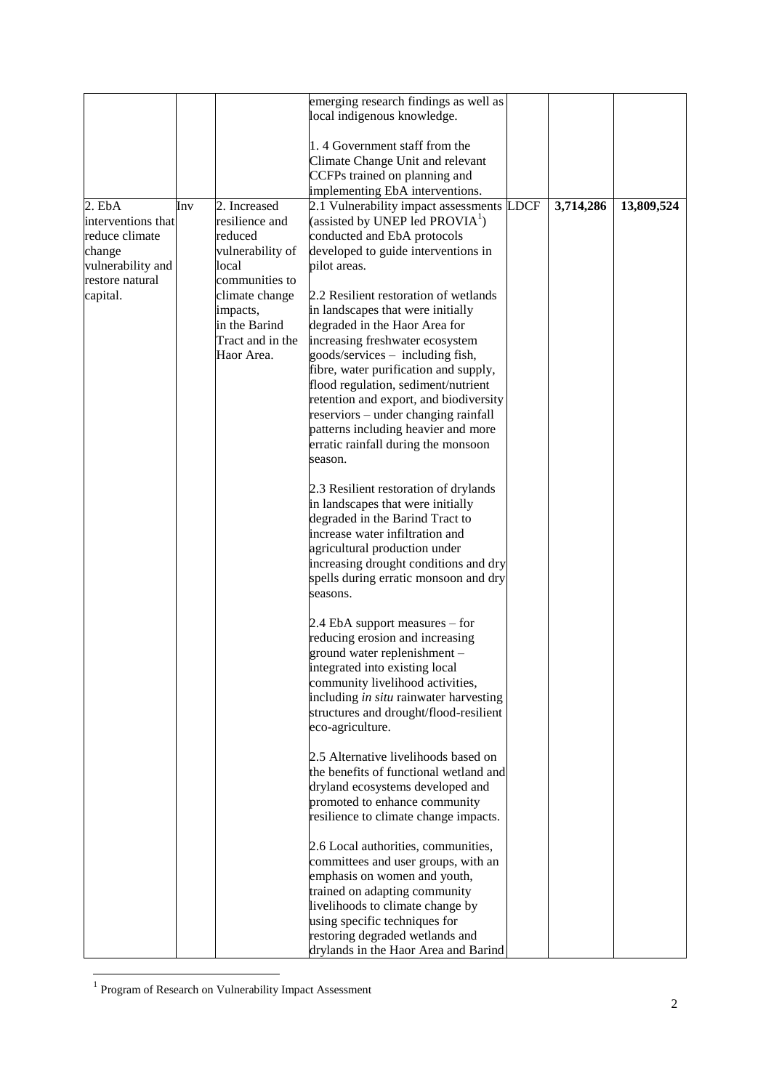|                    |     |                  | emerging research findings as well as       |             |           |            |
|--------------------|-----|------------------|---------------------------------------------|-------------|-----------|------------|
|                    |     |                  | local indigenous knowledge.                 |             |           |            |
|                    |     |                  |                                             |             |           |            |
|                    |     |                  | 1.4 Government staff from the               |             |           |            |
|                    |     |                  | Climate Change Unit and relevant            |             |           |            |
|                    |     |                  | CCFPs trained on planning and               |             |           |            |
|                    |     |                  | implementing EbA interventions.             |             |           |            |
| $2.$ EbA           | Inv | 2. Increased     | 2.1 Vulnerability impact assessments        | <b>LDCF</b> | 3,714,286 | 13,809,524 |
| interventions that |     | resilience and   | (assisted by UNEP led PROVIA <sup>1</sup> ) |             |           |            |
|                    |     |                  | conducted and EbA protocols                 |             |           |            |
| reduce climate     |     | reduced          |                                             |             |           |            |
| change             |     | vulnerability of | developed to guide interventions in         |             |           |            |
| vulnerability and  |     | local            | pilot areas.                                |             |           |            |
| restore natural    |     | communities to   |                                             |             |           |            |
| capital.           |     | climate change   | 2.2 Resilient restoration of wetlands       |             |           |            |
|                    |     | impacts,         | in landscapes that were initially           |             |           |            |
|                    |     | in the Barind    | degraded in the Haor Area for               |             |           |            |
|                    |     | Tract and in the | increasing freshwater ecosystem             |             |           |            |
|                    |     | Haor Area.       | goods/services - including fish,            |             |           |            |
|                    |     |                  | fibre, water purification and supply,       |             |           |            |
|                    |     |                  | flood regulation, sediment/nutrient         |             |           |            |
|                    |     |                  | retention and export, and biodiversity      |             |           |            |
|                    |     |                  | reserviors – under changing rainfall        |             |           |            |
|                    |     |                  | patterns including heavier and more         |             |           |            |
|                    |     |                  | erratic rainfall during the monsoon         |             |           |            |
|                    |     |                  | season.                                     |             |           |            |
|                    |     |                  |                                             |             |           |            |
|                    |     |                  | 2.3 Resilient restoration of drylands       |             |           |            |
|                    |     |                  | in landscapes that were initially           |             |           |            |
|                    |     |                  | degraded in the Barind Tract to             |             |           |            |
|                    |     |                  | increase water infiltration and             |             |           |            |
|                    |     |                  | agricultural production under               |             |           |            |
|                    |     |                  | increasing drought conditions and dry       |             |           |            |
|                    |     |                  | spells during erratic monsoon and dry       |             |           |            |
|                    |     |                  | seasons.                                    |             |           |            |
|                    |     |                  |                                             |             |           |            |
|                    |     |                  | 2.4 EbA support measures – for              |             |           |            |
|                    |     |                  | reducing erosion and increasing             |             |           |            |
|                    |     |                  | ground water replenishment -                |             |           |            |
|                    |     |                  | integrated into existing local              |             |           |            |
|                    |     |                  | community livelihood activities,            |             |           |            |
|                    |     |                  | including in situ rainwater harvesting      |             |           |            |
|                    |     |                  | structures and drought/flood-resilient      |             |           |            |
|                    |     |                  | eco-agriculture.                            |             |           |            |
|                    |     |                  |                                             |             |           |            |
|                    |     |                  | 2.5 Alternative livelihoods based on        |             |           |            |
|                    |     |                  | the benefits of functional wetland and      |             |           |            |
|                    |     |                  | dryland ecosystems developed and            |             |           |            |
|                    |     |                  | promoted to enhance community               |             |           |            |
|                    |     |                  | resilience to climate change impacts.       |             |           |            |
|                    |     |                  |                                             |             |           |            |
|                    |     |                  | 2.6 Local authorities, communities,         |             |           |            |
|                    |     |                  |                                             |             |           |            |
|                    |     |                  | committees and user groups, with an         |             |           |            |
|                    |     |                  | emphasis on women and youth,                |             |           |            |
|                    |     |                  | trained on adapting community               |             |           |            |
|                    |     |                  | livelihoods to climate change by            |             |           |            |
|                    |     |                  | using specific techniques for               |             |           |            |
|                    |     |                  | restoring degraded wetlands and             |             |           |            |
|                    |     |                  | drylands in the Haor Area and Barind        |             |           |            |

 1 Program of Research on Vulnerability Impact Assessment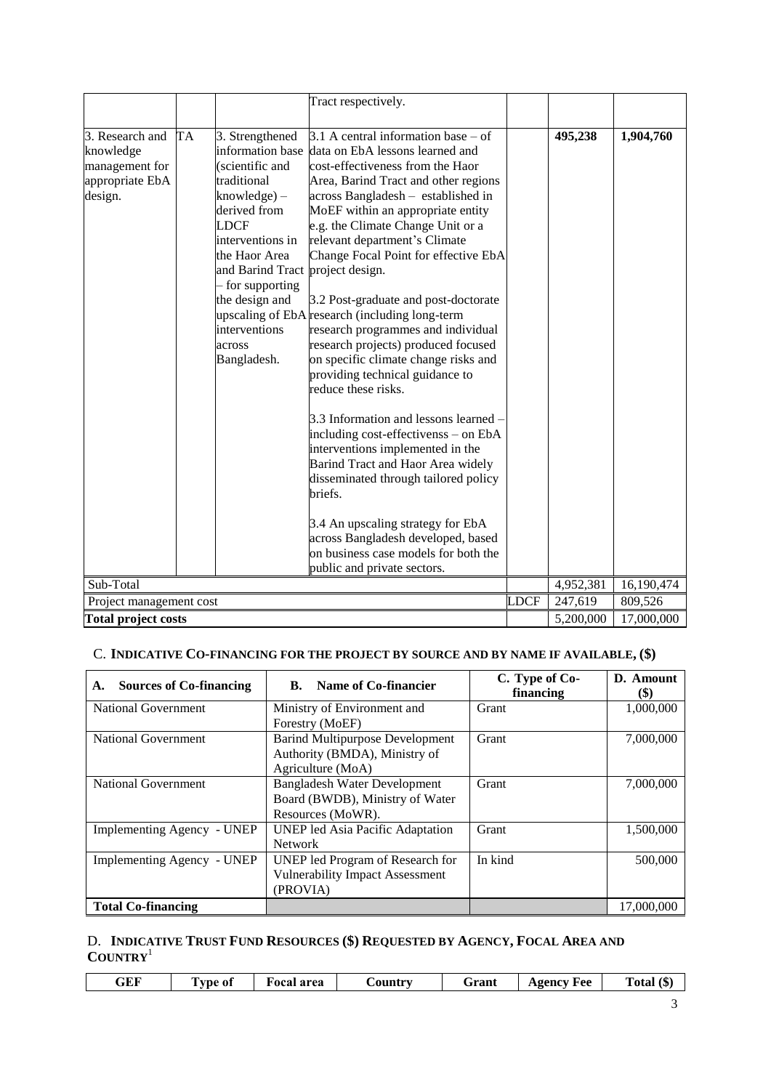|                                                                              |           |                                                                                                                                                                      | Tract respectively.                                                                                                                                                                                                                                                                                                                                                                 |             |           |            |
|------------------------------------------------------------------------------|-----------|----------------------------------------------------------------------------------------------------------------------------------------------------------------------|-------------------------------------------------------------------------------------------------------------------------------------------------------------------------------------------------------------------------------------------------------------------------------------------------------------------------------------------------------------------------------------|-------------|-----------|------------|
| 3. Research and<br>knowledge<br>management for<br>appropriate EbA<br>design. | <b>TA</b> | 3. Strengthened<br>(scientific and<br>traditional<br>$knowledge) -$<br>derived from                                                                                  | 3.1 A central information base $-$ of<br>information base data on EbA lessons learned and<br>cost-effectiveness from the Haor<br>Area, Barind Tract and other regions<br>across Bangladesh - established in<br>MoEF within an appropriate entity                                                                                                                                    |             | 495,238   | 1,904,760  |
|                                                                              |           | <b>LDCF</b><br>interventions in<br>the Haor Area<br>and Barind Tract project design.<br>- for supporting<br>the design and<br>interventions<br>across<br>Bangladesh. | e.g. the Climate Change Unit or a<br>relevant department's Climate<br>Change Focal Point for effective EbA<br>3.2 Post-graduate and post-doctorate<br>upscaling of EbA research (including long-term<br>research programmes and individual<br>research projects) produced focused<br>on specific climate change risks and<br>providing technical guidance to<br>reduce these risks. |             |           |            |
|                                                                              |           |                                                                                                                                                                      | 3.3 Information and lessons learned -<br>including cost-effectivenss - on EbA<br>interventions implemented in the<br>Barind Tract and Haor Area widely<br>disseminated through tailored policy<br>briefs.                                                                                                                                                                           |             |           |            |
|                                                                              |           |                                                                                                                                                                      | 3.4 An upscaling strategy for EbA<br>across Bangladesh developed, based<br>on business case models for both the<br>public and private sectors.                                                                                                                                                                                                                                      |             |           |            |
| Sub-Total                                                                    |           |                                                                                                                                                                      |                                                                                                                                                                                                                                                                                                                                                                                     |             | 4,952,381 | 16,190,474 |
| Project management cost                                                      |           |                                                                                                                                                                      |                                                                                                                                                                                                                                                                                                                                                                                     | <b>LDCF</b> | 247,619   | 809,526    |
| <b>Total project costs</b>                                                   |           |                                                                                                                                                                      |                                                                                                                                                                                                                                                                                                                                                                                     |             | 5,200,000 | 17,000,000 |

# C. **INDICATIVE CO-[FINANCING](http://gefweb.org/Documents/Council_Documents/GEF_C21/C.20.6.Rev.1.pdf) FOR THE PROJECT BY SOURCE AND BY NAME IF AVAILABLE, (\$)**

| <b>Sources of Co-financing</b><br>А. | Name of Co-financier<br>В.                                                                   | C. Type of Co-<br>financing | D. Amount<br><b>(\$)</b> |
|--------------------------------------|----------------------------------------------------------------------------------------------|-----------------------------|--------------------------|
| National Government                  | Ministry of Environment and<br>Forestry (MoEF)                                               | Grant                       | 1,000,000                |
| <b>National Government</b>           | <b>Barind Multipurpose Development</b><br>Authority (BMDA), Ministry of<br>Agriculture (MoA) | Grant                       | 7,000,000                |
| <b>National Government</b>           | <b>Bangladesh Water Development</b><br>Board (BWDB), Ministry of Water<br>Resources (MoWR).  | Grant                       | 7,000,000                |
| Implementing Agency - UNEP           | <b>UNEP</b> led Asia Pacific Adaptation<br><b>Network</b>                                    | Grant                       | 1.500,000                |
| Implementing Agency - UNEP           | UNEP led Program of Research for<br><b>Vulnerability Impact Assessment</b><br>(PROVIA)       | In kind                     | 500,000                  |
| <b>Total Co-financing</b>            |                                                                                              |                             | 17,000,000               |

# D. **INDICATIVE TRUST FUND RESOURCES (\$) REQUESTED BY AGENCY, FOCAL AREA AND COUNTRY**<sup>1</sup>

| area<br>Total<br>Agency<br>Grant<br>Fee<br>€ountrv<br>GEF<br>l vpe of<br>ιD<br>. .<br>$\sim$<br>--<br>- -<br>__<br>_ _ _ _ _<br>____ |
|--------------------------------------------------------------------------------------------------------------------------------------|
|--------------------------------------------------------------------------------------------------------------------------------------|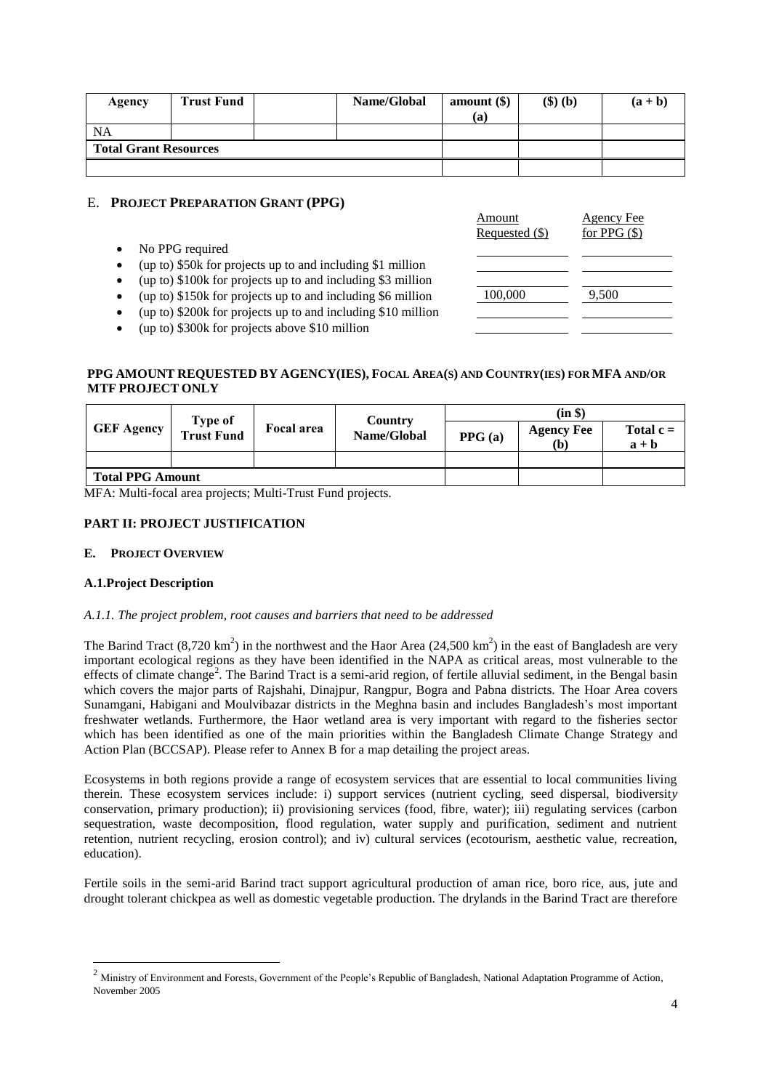| Agency                       | <b>Trust Fund</b> |  | Name/Global | amount $(\$)$ | $(\text{S})$ $(\text{b})$ | $(a + b)$ |
|------------------------------|-------------------|--|-------------|---------------|---------------------------|-----------|
|                              |                   |  |             | (a)           |                           |           |
| <b>NA</b>                    |                   |  |             |               |                           |           |
| <b>Total Grant Resources</b> |                   |  |             |               |                           |           |
|                              |                   |  |             |               |                           |           |

# E. **PROJECT PREPARATION GRANT (PPG)**

|                                                                                                                                                                                                             | Allioulit<br>Requested (\$) | Agelicy Fee<br>for PPG $(\$)$ |
|-------------------------------------------------------------------------------------------------------------------------------------------------------------------------------------------------------------|-----------------------------|-------------------------------|
| No PPG required<br>(up to) \$50k for projects up to and including \$1 million<br>(up to) \$100k for projects up to and including \$3 million<br>(up to) \$150k for projects up to and including \$6 million | 100,000                     | 9,500                         |
| (up to) \$200k for projects up to and including \$10 million<br>(up to) \$300k for projects above \$10 million                                                                                              |                             |                               |

 $\Lambda$  and  $\Lambda$ 

Agency  $\Gamma$ 

## PPG AMOUNT REQUESTED BY AGENCY(IES), FOCAL AREA(S) AND COUNTRY(IES) FOR MFA AND/OR **MTF PROJECT ONLY**

|                   | Type of                 |                   | <b>Country</b> |        | (in \$)                                        |                        |
|-------------------|-------------------------|-------------------|----------------|--------|------------------------------------------------|------------------------|
| <b>GEF Agency</b> | <b>Trust Fund</b>       | <b>Focal area</b> | Name/Global    | PPG(a) | <b>Agency Fee</b><br>$\left(\mathbf{b}\right)$ | Total $c =$<br>$a + b$ |
|                   |                         |                   |                |        |                                                |                        |
|                   | <b>Total PPG Amount</b> |                   |                |        |                                                |                        |

MFA: Multi-focal area projects; Multi-Trust Fund projects.

## **PART II: PROJECT JUSTIFICATION**

## **E. PROJECT OVERVIEW**

### **A.1.Project Description**

1

### *A.1.1. The project problem, root causes and barriers that need to be addressed*

The Barind Tract  $(8,720 \text{ km}^2)$  in the northwest and the Haor Area  $(24,500 \text{ km}^2)$  in the east of Bangladesh are very important ecological regions as they have been identified in the NAPA as critical areas, most vulnerable to the effects of climate change<sup>2</sup>. The Barind Tract is a semi-arid region, of fertile alluvial sediment, in the Bengal basin which covers the major parts of Rajshahi, Dinajpur, Rangpur, Bogra and Pabna districts. The Hoar Area covers Sunamgani, Habigani and Moulvibazar districts in the Meghna basin and includes Bangladesh's most important freshwater wetlands. Furthermore, the Haor wetland area is very important with regard to the fisheries sector which has been identified as one of the main priorities within the Bangladesh Climate Change Strategy and Action Plan (BCCSAP). Please refer to Annex B for a map detailing the project areas.

Ecosystems in both regions provide a range of ecosystem services that are essential to local communities living therein. These ecosystem services include: i) support services (nutrient cycling, seed dispersal, biodiversit*y* conservation, primary production); ii) provisioning services (food, fibre, water); iii) regulating services (carbon sequestration, waste decomposition, flood regulation, water supply and purification, sediment and nutrient retention, nutrient recycling, erosion control); and iv) cultural services (ecotourism, aesthetic value, recreation, education).

Fertile soils in the semi-arid Barind tract support agricultural production of aman rice, boro rice, aus, jute and drought tolerant chickpea as well as domestic vegetable production. The drylands in the Barind Tract are therefore

<sup>&</sup>lt;sup>2</sup> Ministry of Environment and Forests, Government of the People's Republic of Bangladesh, National Adaptation Programme of Action, November 2005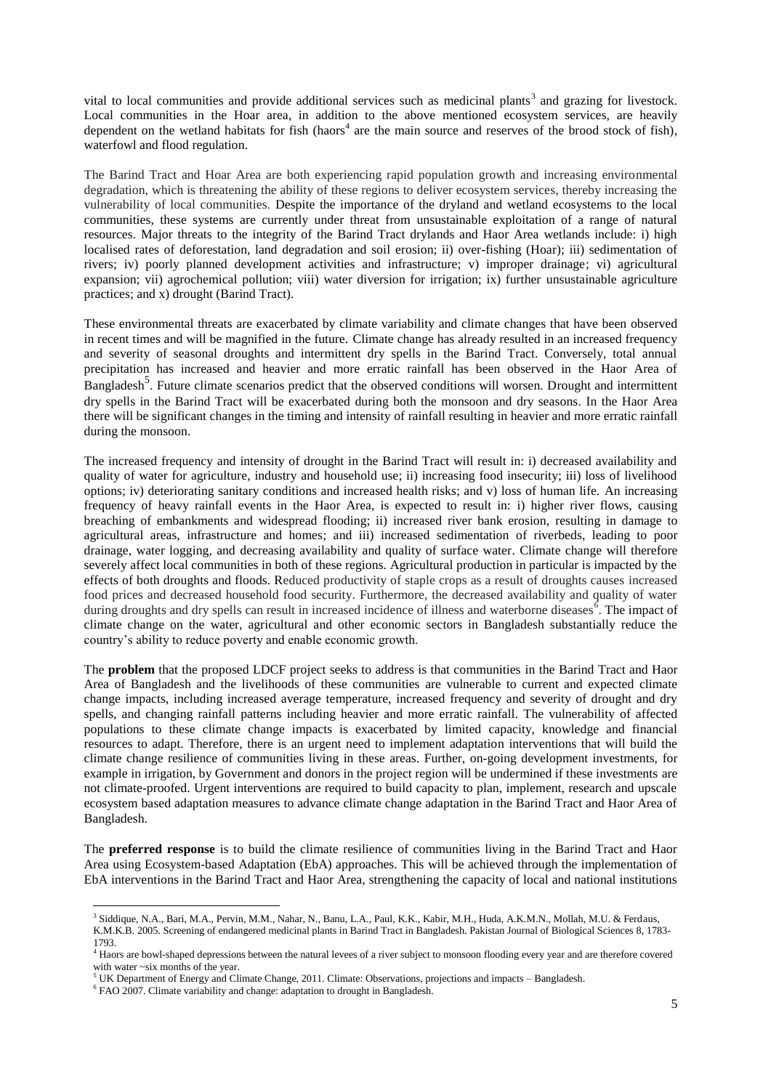vital to local communities and provide additional services such as medicinal plants<sup>3</sup> and grazing for livestock. Local communities in the Hoar area, in addition to the above mentioned ecosystem services, are heavily dependent on the wetland habitats for fish (haors<sup>4</sup> are the main source and reserves of the brood stock of fish), waterfowl and flood regulation.

The Barind Tract and Hoar Area are both experiencing rapid population growth and increasing environmental degradation, which is threatening the ability of these regions to deliver ecosystem services, thereby increasing the vulnerability of local communities. Despite the importance of the dryland and wetland ecosystems to the local communities, these systems are currently under threat from unsustainable exploitation of a range of natural resources. Major threats to the integrity of the Barind Tract drylands and Haor Area wetlands include: i) high localised rates of deforestation, land degradation and soil erosion; ii) over-fishing (Hoar); iii) sedimentation of rivers; iv) poorly planned development activities and infrastructure; v) improper drainage; vi) agricultural expansion; vii) agrochemical pollution; viii) water diversion for irrigation; ix) further unsustainable agriculture practices; and x) drought (Barind Tract).

These environmental threats are exacerbated by climate variability and climate changes that have been observed in recent times and will be magnified in the future. Climate change has already resulted in an increased frequency and severity of seasonal droughts and intermittent dry spells in the Barind Tract. Conversely, total annual precipitation has increased and heavier and more erratic rainfall has been observed in the Haor Area of Bangladesh<sup>5</sup>. Future climate scenarios predict that the observed conditions will worsen. Drought and intermittent dry spells in the Barind Tract will be exacerbated during both the monsoon and dry seasons. In the Haor Area there will be significant changes in the timing and intensity of rainfall resulting in heavier and more erratic rainfall during the monsoon.

The increased frequency and intensity of drought in the Barind Tract will result in: i) decreased availability and quality of water for agriculture, industry and household use; ii) increasing food insecurity; iii) loss of livelihood options; iv) deteriorating sanitary conditions and increased health risks; and v) loss of human life. An increasing frequency of heavy rainfall events in the Haor Area, is expected to result in: i) higher river flows, causing breaching of embankments and widespread flooding; ii) increased river bank erosion, resulting in damage to agricultural areas, infrastructure and homes; and iii) increased sedimentation of riverbeds, leading to poor drainage, water logging, and decreasing availability and quality of surface water. Climate change will therefore severely affect local communities in both of these regions. Agricultural production in particular is impacted by the effects of both droughts and floods. Reduced productivity of staple crops as a result of droughts causes increased food prices and decreased household food security. Furthermore, the decreased availability and quality of water during droughts and dry spells can result in increased incidence of illness and waterborne diseases <sup>6</sup>. The impact of climate change on the water, agricultural and other economic sectors in Bangladesh substantially reduce the country's ability to reduce poverty and enable economic growth.

The **problem** that the proposed LDCF project seeks to address is that communities in the Barind Tract and Haor Area of Bangladesh and the livelihoods of these communities are vulnerable to current and expected climate change impacts, including increased average temperature, increased frequency and severity of drought and dry spells, and changing rainfall patterns including heavier and more erratic rainfall. The vulnerability of affected populations to these climate change impacts is exacerbated by limited capacity, knowledge and financial resources to adapt. Therefore, there is an urgent need to implement adaptation interventions that will build the climate change resilience of communities living in these areas. Further, on-going development investments, for example in irrigation, by Government and donors in the project region will be undermined if these investments are not climate-proofed. Urgent interventions are required to build capacity to plan, implement, research and upscale ecosystem based adaptation measures to advance climate change adaptation in the Barind Tract and Haor Area of Bangladesh.

The **preferred response** is to build the climate resilience of communities living in the Barind Tract and Haor Area using Ecosystem-based Adaptation (EbA) approaches. This will be achieved through the implementation of EbA interventions in the Barind Tract and Haor Area, strengthening the capacity of local and national institutions

<u>.</u>

<sup>3</sup> Siddique, N.A., Bari, M.A., Pervin, M.M., Nahar, N., Banu, L.A., Paul, K.K., Kabir, M.H., Huda, A.K.M.N., Mollah, M.U. & Ferdaus, K.M.K.B. 2005. Screening of endangered medicinal plants in Barind Tract in Bangladesh. Pakistan Journal of Biological Sciences 8, 1783- 1793.

<sup>4</sup> Haors are bowl-shaped depressions between the natural levees of a river subject to monsoon flooding every year and are therefore covered with water ~six months of the year.

<sup>5</sup> UK Department of Energy and Climate Change, 2011. Climate: Observations, projections and impacts – Bangladesh.

<sup>&</sup>lt;sup>6</sup> FAO 2007. Climate variability and change: adaptation to drought in Bangladesh.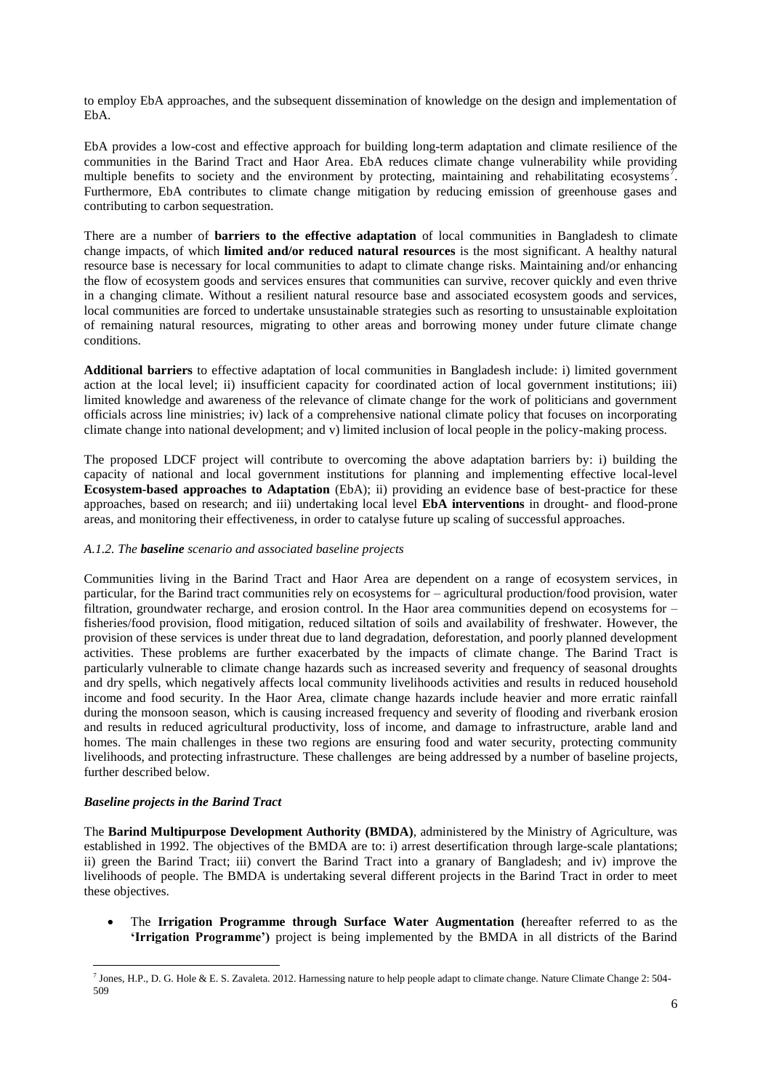to employ EbA approaches, and the subsequent dissemination of knowledge on the design and implementation of EbA.

EbA provides a low-cost and effective approach for building long-term adaptation and climate resilience of the communities in the Barind Tract and Haor Area. EbA reduces climate change vulnerability while providing multiple benefits to society and the environment by protecting, maintaining and rehabilitating ecosystems<sup>7</sup>. Furthermore, EbA contributes to climate change mitigation by reducing emission of greenhouse gases and contributing to carbon sequestration.

There are a number of **barriers to the effective adaptation** of local communities in Bangladesh to climate change impacts, of which **limited and/or reduced natural resources** is the most significant. A healthy natural resource base is necessary for local communities to adapt to climate change risks. Maintaining and/or enhancing the flow of ecosystem goods and services ensures that communities can survive, recover quickly and even thrive in a changing climate. Without a resilient natural resource base and associated ecosystem goods and services, local communities are forced to undertake unsustainable strategies such as resorting to unsustainable exploitation of remaining natural resources, migrating to other areas and borrowing money under future climate change conditions.

**Additional barriers** to effective adaptation of local communities in Bangladesh include: i) limited government action at the local level; ii) insufficient capacity for coordinated action of local government institutions; iii) limited knowledge and awareness of the relevance of climate change for the work of politicians and government officials across line ministries; iv) lack of a comprehensive national climate policy that focuses on incorporating climate change into national development; and v) limited inclusion of local people in the policy-making process.

The proposed LDCF project will contribute to overcoming the above adaptation barriers by: i) building the capacity of national and local government institutions for planning and implementing effective local-level **Ecosystem-based approaches to Adaptation** (EbA); ii) providing an evidence base of best-practice for these approaches, based on research; and iii) undertaking local level **EbA interventions** in drought- and flood-prone areas, and monitoring their effectiveness, in order to catalyse future up scaling of successful approaches.

#### *A.1.2. The baseline scenario and associated baseline projects*

Communities living in the Barind Tract and Haor Area are dependent on a range of ecosystem services, in particular, for the Barind tract communities rely on ecosystems for – agricultural production/food provision, water filtration, groundwater recharge, and erosion control. In the Haor area communities depend on ecosystems for – fisheries/food provision, flood mitigation, reduced siltation of soils and availability of freshwater. However, the provision of these services is under threat due to land degradation, deforestation, and poorly planned development activities. These problems are further exacerbated by the impacts of climate change. The Barind Tract is particularly vulnerable to climate change hazards such as increased severity and frequency of seasonal droughts and dry spells, which negatively affects local community livelihoods activities and results in reduced household income and food security. In the Haor Area, climate change hazards include heavier and more erratic rainfall during the monsoon season, which is causing increased frequency and severity of flooding and riverbank erosion and results in reduced agricultural productivity, loss of income, and damage to infrastructure, arable land and homes. The main challenges in these two regions are ensuring food and water security, protecting community livelihoods, and protecting infrastructure. These challenges are being addressed by a number of baseline projects, further described below.

#### *Baseline projects in the Barind Tract*

1

The **Barind Multipurpose Development Authority (BMDA)**, administered by the Ministry of Agriculture, was established in 1992. The objectives of the BMDA are to: i) arrest desertification through large-scale plantations; ii) green the Barind Tract; iii) convert the Barind Tract into a granary of Bangladesh; and iv) improve the livelihoods of people. The BMDA is undertaking several different projects in the Barind Tract in order to meet these objectives.

 The **Irrigation Programme through Surface Water Augmentation (**hereafter referred to as the **'Irrigation Programme')** project is being implemented by the BMDA in all districts of the Barind

<sup>&</sup>lt;sup>7</sup> Jones, H.P., D. G. Hole & E. S. Zavaleta. 2012. Harnessing nature to help people adapt to climate change. Nature Climate Change 2: 504-509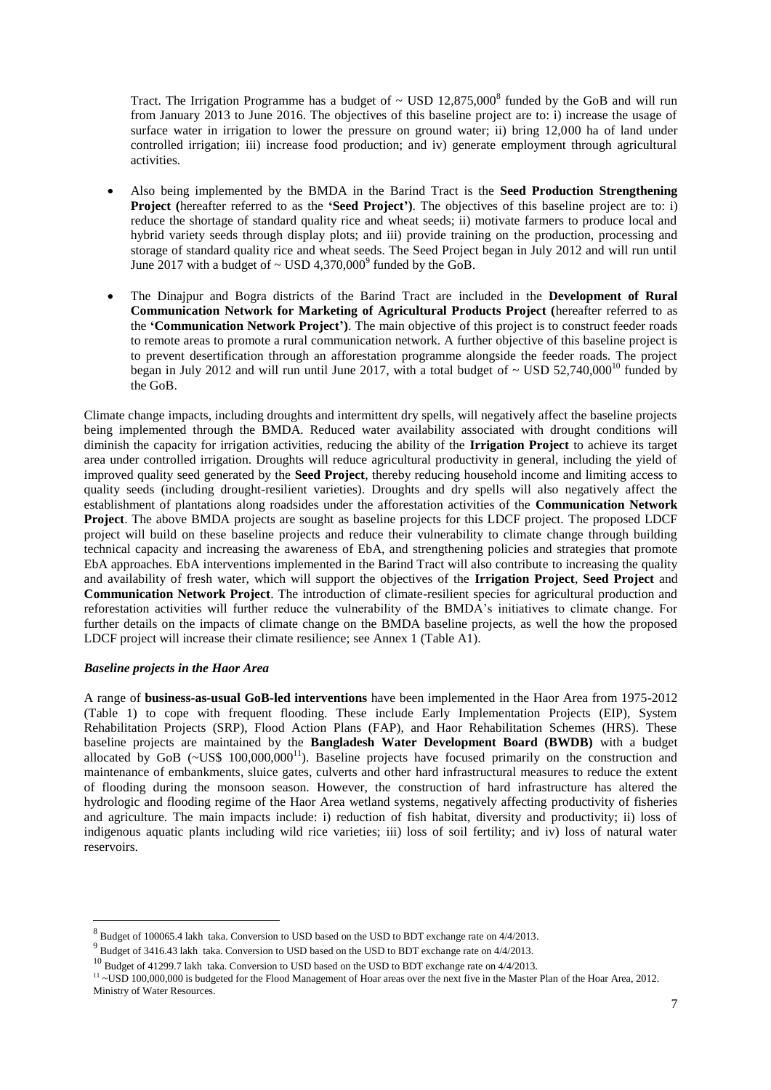Tract. The Irrigation Programme has a budget of  $\sim$  USD 12,875,000<sup>8</sup> funded by the GoB and will run from January 2013 to June 2016. The objectives of this baseline project are to: i) increase the usage of surface water in irrigation to lower the pressure on ground water; ii) bring 12,000 ha of land under controlled irrigation; iii) increase food production; and iv) generate employment through agricultural activities.

- Also being implemented by the BMDA in the Barind Tract is the **Seed Production Strengthening Project** (hereafter referred to as the **'Seed Project'**). The objectives of this baseline project are to: i) reduce the shortage of standard quality rice and wheat seeds; ii) motivate farmers to produce local and hybrid variety seeds through display plots; and iii) provide training on the production, processing and storage of standard quality rice and wheat seeds. The Seed Project began in July 2012 and will run until June 2017 with a budget of  $\sim$  USD 4,370,000 $^9$  funded by the GoB.
- The Dinajpur and Bogra districts of the Barind Tract are included in the **Development of Rural Communication Network for Marketing of Agricultural Products Project (**hereafter referred to as the **'Communication Network Project')**. The main objective of this project is to construct feeder roads to remote areas to promote a rural communication network. A further objective of this baseline project is to prevent desertification through an afforestation programme alongside the feeder roads. The project began in July 2012 and will run until June 2017, with a total budget of  $\sim$  USD 52,740,000<sup>10</sup> funded by the GoB.

Climate change impacts, including droughts and intermittent dry spells, will negatively affect the baseline projects being implemented through the BMDA. Reduced water availability associated with drought conditions will diminish the capacity for irrigation activities, reducing the ability of the **Irrigation Project** to achieve its target area under controlled irrigation. Droughts will reduce agricultural productivity in general, including the yield of improved quality seed generated by the **Seed Project**, thereby reducing household income and limiting access to quality seeds (including drought-resilient varieties). Droughts and dry spells will also negatively affect the establishment of plantations along roadsides under the afforestation activities of the **Communication Network Project**. The above BMDA projects are sought as baseline projects for this LDCF project. The proposed LDCF project will build on these baseline projects and reduce their vulnerability to climate change through building technical capacity and increasing the awareness of EbA, and strengthening policies and strategies that promote EbA approaches. EbA interventions implemented in the Barind Tract will also contribute to increasing the quality and availability of fresh water, which will support the objectives of the **Irrigation Project**, **Seed Project** and **Communication Network Project**. The introduction of climate-resilient species for agricultural production and reforestation activities will further reduce the vulnerability of the BMDA's initiatives to climate change. For further details on the impacts of climate change on the BMDA baseline projects, as well the how the proposed LDCF project will increase their climate resilience; see Annex 1 (Table A1).

#### *Baseline projects in the Haor Area*

1

A range of **business-as-usual GoB-led interventions** have been implemented in the Haor Area from 1975-2012 (Table 1) to cope with frequent flooding. These include Early Implementation Projects (EIP), System Rehabilitation Projects (SRP), Flood Action Plans (FAP), and Haor Rehabilitation Schemes (HRS). These baseline projects are maintained by the **Bangladesh Water Development Board (BWDB)** with a budget allocated by GoB ( $\sim$ US\$ 100,000,000<sup>11</sup>). Baseline projects have focused primarily on the construction and maintenance of embankments, sluice gates, culverts and other hard infrastructural measures to reduce the extent of flooding during the monsoon season. However, the construction of hard infrastructure has altered the hydrologic and flooding regime of the Haor Area wetland systems, negatively affecting productivity of fisheries and agriculture. The main impacts include: i) reduction of fish habitat, diversity and productivity; ii) loss of indigenous aquatic plants including wild rice varieties; iii) loss of soil fertility; and iv) loss of natural water reservoirs.

 $8$  Budget of 100065.4 lakh taka. Conversion to USD based on the USD to BDT exchange rate on 4/4/2013.

 $^{9}$  Budget of 3416.43 lakh taka. Conversion to USD based on the USD to BDT exchange rate on 4/4/2013.

<sup>&</sup>lt;sup>10</sup> Budget of 41299.7 lakh taka. Conversion to USD based on the USD to BDT exchange rate on 4/4/2013.

<sup>&</sup>lt;sup>11</sup> ~USD 100,000,000 is budgeted for the Flood Management of Hoar areas over the next five in the Master Plan of the Hoar Area, 2012. Ministry of Water Resources.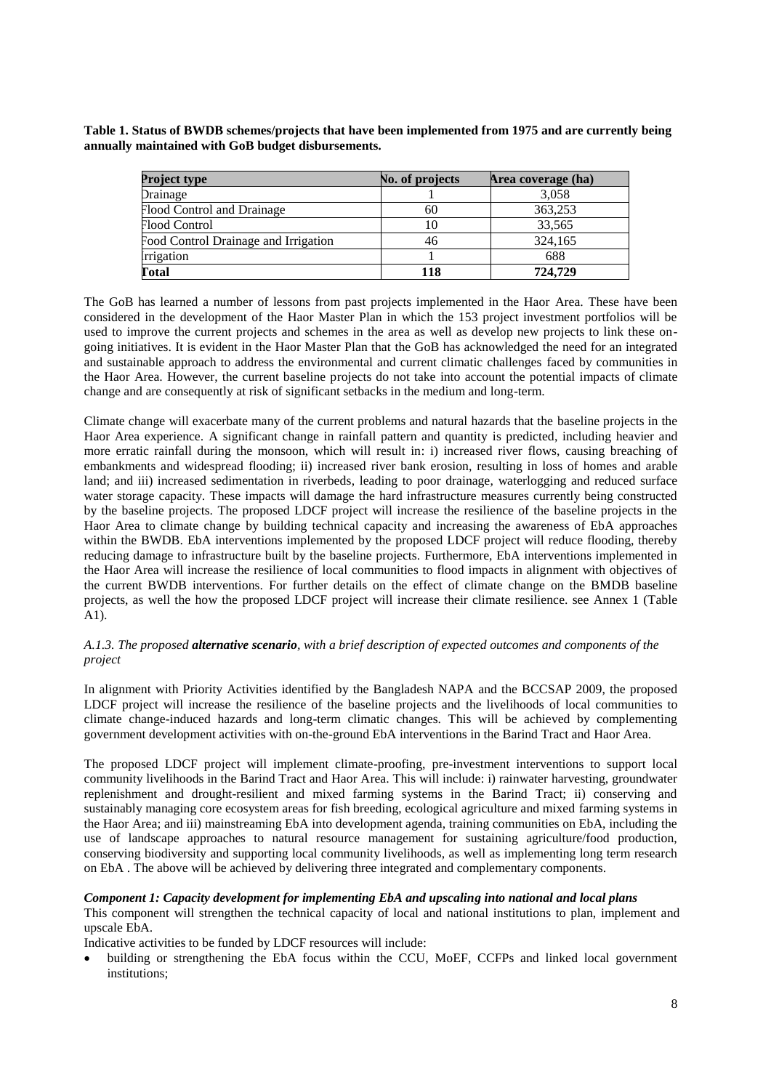**Table 1. Status of BWDB schemes/projects that have been implemented from 1975 and are currently being annually maintained with GoB budget disbursements.** 

| <b>Project type</b>                  | No. of projects | Area coverage (ha) |
|--------------------------------------|-----------------|--------------------|
| Drainage                             |                 | 3,058              |
| Flood Control and Drainage           | 60              | 363,253            |
| Flood Control                        | 10              | 33,565             |
| Food Control Drainage and Irrigation | 46              | 324,165            |
| <i><u><b>Irrigation</b></u></i>      |                 | 688                |
| <b>Total</b>                         | 118             | 724,729            |

The GoB has learned a number of lessons from past projects implemented in the Haor Area. These have been considered in the development of the Haor Master Plan in which the 153 project investment portfolios will be used to improve the current projects and schemes in the area as well as develop new projects to link these ongoing initiatives. It is evident in the Haor Master Plan that the GoB has acknowledged the need for an integrated and sustainable approach to address the environmental and current climatic challenges faced by communities in the Haor Area. However, the current baseline projects do not take into account the potential impacts of climate change and are consequently at risk of significant setbacks in the medium and long-term.

Climate change will exacerbate many of the current problems and natural hazards that the baseline projects in the Haor Area experience. A significant change in rainfall pattern and quantity is predicted, including heavier and more erratic rainfall during the monsoon, which will result in: i) increased river flows, causing breaching of embankments and widespread flooding; ii) increased river bank erosion, resulting in loss of homes and arable land; and iii) increased sedimentation in riverbeds, leading to poor drainage, waterlogging and reduced surface water storage capacity. These impacts will damage the hard infrastructure measures currently being constructed by the baseline projects. The proposed LDCF project will increase the resilience of the baseline projects in the Haor Area to climate change by building technical capacity and increasing the awareness of EbA approaches within the BWDB. EbA interventions implemented by the proposed LDCF project will reduce flooding, thereby reducing damage to infrastructure built by the baseline projects. Furthermore, EbA interventions implemented in the Haor Area will increase the resilience of local communities to flood impacts in alignment with objectives of the current BWDB interventions. For further details on the effect of climate change on the BMDB baseline projects, as well the how the proposed LDCF project will increase their climate resilience. see Annex 1 (Table A1).

### *A.1.3. The proposed alternative scenario, with a brief description of expected outcomes and components of the project*

In alignment with Priority Activities identified by the Bangladesh NAPA and the BCCSAP 2009, the proposed LDCF project will increase the resilience of the baseline projects and the livelihoods of local communities to climate change-induced hazards and long-term climatic changes. This will be achieved by complementing government development activities with on-the-ground EbA interventions in the Barind Tract and Haor Area.

The proposed LDCF project will implement climate-proofing, pre-investment interventions to support local community livelihoods in the Barind Tract and Haor Area. This will include: i) rainwater harvesting, groundwater replenishment and drought-resilient and mixed farming systems in the Barind Tract; ii) conserving and sustainably managing core ecosystem areas for fish breeding, ecological agriculture and mixed farming systems in the Haor Area; and iii) mainstreaming EbA into development agenda, training communities on EbA, including the use of landscape approaches to natural resource management for sustaining agriculture/food production, conserving biodiversity and supporting local community livelihoods, as well as implementing long term research on EbA . The above will be achieved by delivering three integrated and complementary components.

# *Component 1: Capacity development for implementing EbA and upscaling into national and local plans*

This component will strengthen the technical capacity of local and national institutions to plan, implement and upscale EbA.

Indicative activities to be funded by LDCF resources will include:

building or strengthening the EbA focus within the CCU, MoEF, CCFPs and linked local government institutions;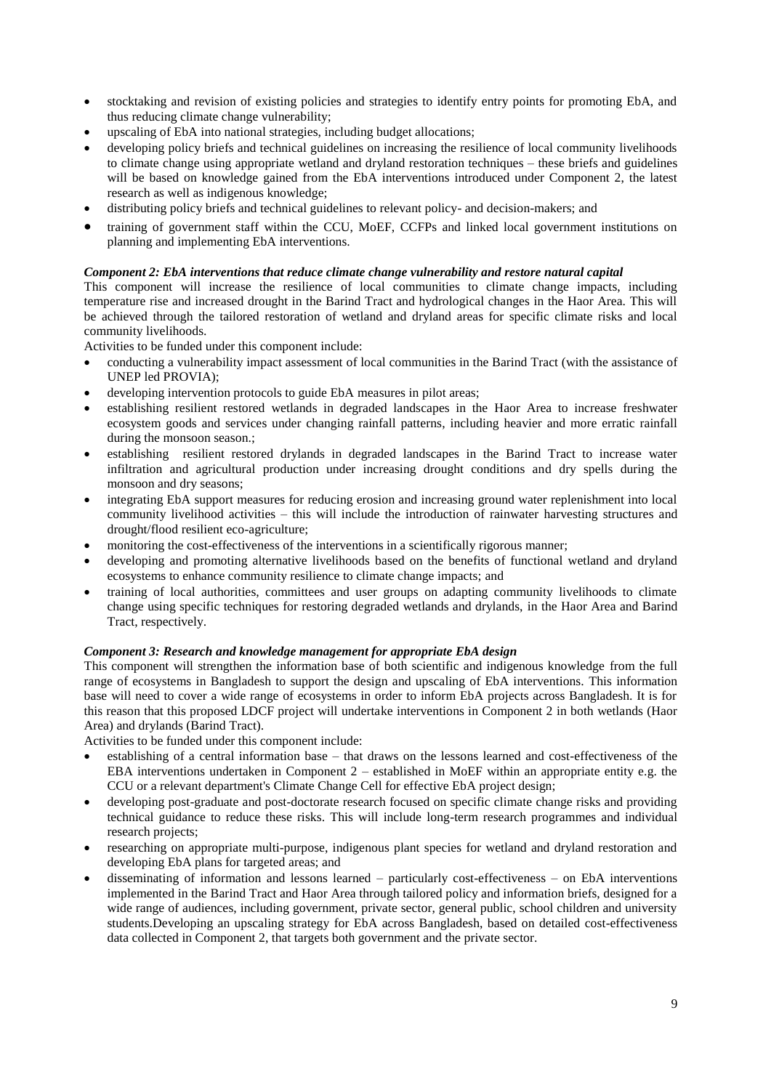- stocktaking and revision of existing policies and strategies to identify entry points for promoting EbA, and thus reducing climate change vulnerability;
- upscaling of EbA into national strategies, including budget allocations;
- developing policy briefs and technical guidelines on increasing the resilience of local community livelihoods to climate change using appropriate wetland and dryland restoration techniques – these briefs and guidelines will be based on knowledge gained from the EbA interventions introduced under Component 2, the latest research as well as indigenous knowledge;
- distributing policy briefs and technical guidelines to relevant policy- and decision-makers; and
- training of government staff within the CCU, MoEF, CCFPs and linked local government institutions on planning and implementing EbA interventions.

### *Component 2: EbA interventions that reduce climate change vulnerability and restore natural capital*

This component will increase the resilience of local communities to climate change impacts, including temperature rise and increased drought in the Barind Tract and hydrological changes in the Haor Area. This will be achieved through the tailored restoration of wetland and dryland areas for specific climate risks and local community livelihoods.

Activities to be funded under this component include:

- conducting a vulnerability impact assessment of local communities in the Barind Tract (with the assistance of UNEP led PROVIA);
- developing intervention protocols to guide EbA measures in pilot areas;
- establishing resilient restored wetlands in degraded landscapes in the Haor Area to increase freshwater ecosystem goods and services under changing rainfall patterns, including heavier and more erratic rainfall during the monsoon season.;
- establishing resilient restored drylands in degraded landscapes in the Barind Tract to increase water infiltration and agricultural production under increasing drought conditions and dry spells during the monsoon and dry seasons;
- integrating EbA support measures for reducing erosion and increasing ground water replenishment into local community livelihood activities – this will include the introduction of rainwater harvesting structures and drought/flood resilient eco-agriculture;
- monitoring the cost-effectiveness of the interventions in a scientifically rigorous manner;
- developing and promoting alternative livelihoods based on the benefits of functional wetland and dryland ecosystems to enhance community resilience to climate change impacts; and
- training of local authorities, committees and user groups on adapting community livelihoods to climate change using specific techniques for restoring degraded wetlands and drylands, in the Haor Area and Barind Tract, respectively.

#### *Component 3: Research and knowledge management for appropriate EbA design*

This component will strengthen the information base of both scientific and indigenous knowledge from the full range of ecosystems in Bangladesh to support the design and upscaling of EbA interventions. This information base will need to cover a wide range of ecosystems in order to inform EbA projects across Bangladesh. It is for this reason that this proposed LDCF project will undertake interventions in Component 2 in both wetlands (Haor Area) and drylands (Barind Tract).

Activities to be funded under this component include:

- establishing of a central information base that draws on the lessons learned and cost-effectiveness of the EBA interventions undertaken in Component 2 – established in MoEF within an appropriate entity e.g. the CCU or a relevant department's Climate Change Cell for effective EbA project design;
- developing post-graduate and post-doctorate research focused on specific climate change risks and providing technical guidance to reduce these risks. This will include long-term research programmes and individual research projects;
- researching on appropriate multi-purpose, indigenous plant species for wetland and dryland restoration and developing EbA plans for targeted areas; and
- disseminating of information and lessons learned particularly cost-effectiveness on EbA interventions implemented in the Barind Tract and Haor Area through tailored policy and information briefs, designed for a wide range of audiences, including government, private sector, general public, school children and university students.Developing an upscaling strategy for EbA across Bangladesh, based on detailed cost-effectiveness data collected in Component 2, that targets both government and the private sector.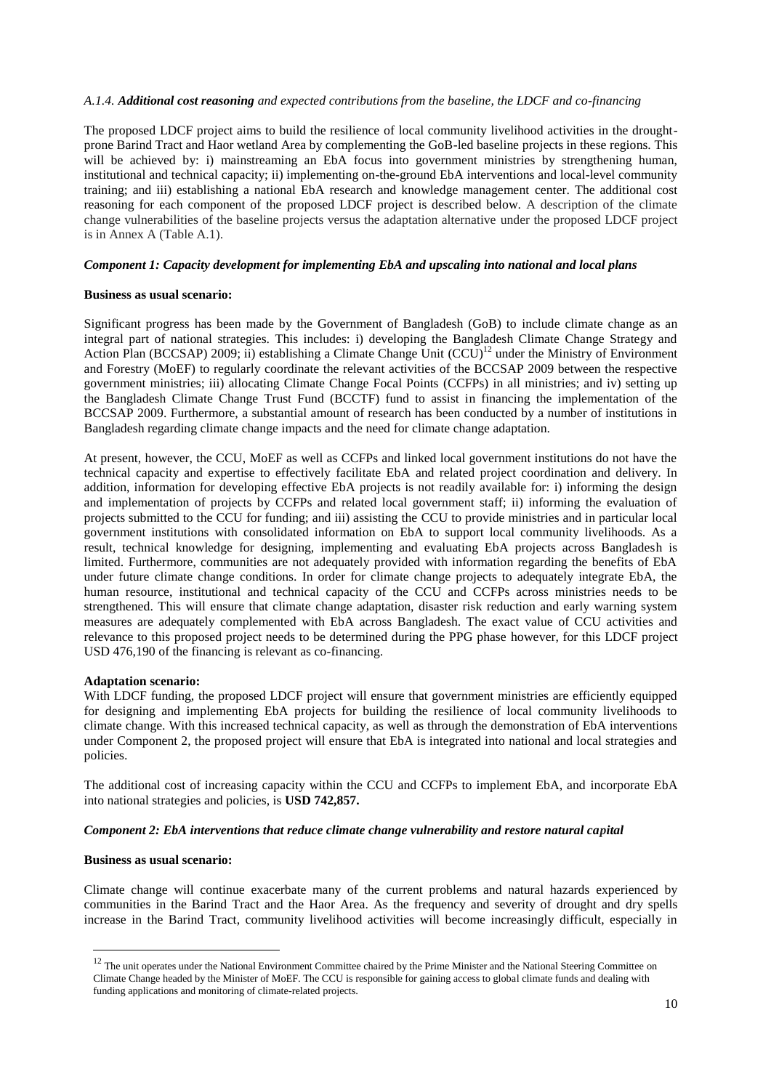#### *A.1.4. Additional cost reasoning and expected contributions from the baseline, the LDCF and co-financing*

The proposed LDCF project aims to build the resilience of local community livelihood activities in the droughtprone Barind Tract and Haor wetland Area by complementing the GoB-led baseline projects in these regions. This will be achieved by: i) mainstreaming an EbA focus into government ministries by strengthening human, institutional and technical capacity; ii) implementing on-the-ground EbA interventions and local-level community training; and iii) establishing a national EbA research and knowledge management center. The additional cost reasoning for each component of the proposed LDCF project is described below. A description of the climate change vulnerabilities of the baseline projects versus the adaptation alternative under the proposed LDCF project is in Annex A (Table A.1).

#### *Component 1: Capacity development for implementing EbA and upscaling into national and local plans*

#### **Business as usual scenario:**

Significant progress has been made by the Government of Bangladesh (GoB) to include climate change as an integral part of national strategies. This includes: i) developing the Bangladesh Climate Change Strategy and Action Plan (BCCSAP) 2009; ii) establishing a Climate Change Unit (CCU)<sup>12</sup> under the Ministry of Environment and Forestry (MoEF) to regularly coordinate the relevant activities of the BCCSAP 2009 between the respective government ministries; iii) allocating Climate Change Focal Points (CCFPs) in all ministries; and iv) setting up the Bangladesh Climate Change Trust Fund (BCCTF) fund to assist in financing the implementation of the BCCSAP 2009. Furthermore, a substantial amount of research has been conducted by a number of institutions in Bangladesh regarding climate change impacts and the need for climate change adaptation.

At present, however, the CCU, MoEF as well as CCFPs and linked local government institutions do not have the technical capacity and expertise to effectively facilitate EbA and related project coordination and delivery. In addition, information for developing effective EbA projects is not readily available for: i) informing the design and implementation of projects by CCFPs and related local government staff; ii) informing the evaluation of projects submitted to the CCU for funding; and iii) assisting the CCU to provide ministries and in particular local government institutions with consolidated information on EbA to support local community livelihoods. As a result, technical knowledge for designing, implementing and evaluating EbA projects across Bangladesh is limited. Furthermore, communities are not adequately provided with information regarding the benefits of EbA under future climate change conditions. In order for climate change projects to adequately integrate EbA, the human resource, institutional and technical capacity of the CCU and CCFPs across ministries needs to be strengthened. This will ensure that climate change adaptation, disaster risk reduction and early warning system measures are adequately complemented with EbA across Bangladesh. The exact value of CCU activities and relevance to this proposed project needs to be determined during the PPG phase however, for this LDCF project USD 476,190 of the financing is relevant as co-financing.

#### **Adaptation scenario:**

With LDCF funding, the proposed LDCF project will ensure that government ministries are efficiently equipped for designing and implementing EbA projects for building the resilience of local community livelihoods to climate change. With this increased technical capacity, as well as through the demonstration of EbA interventions under Component 2, the proposed project will ensure that EbA is integrated into national and local strategies and policies.

The additional cost of increasing capacity within the CCU and CCFPs to implement EbA, and incorporate EbA into national strategies and policies, is **USD 742,857.**

#### *Component 2: EbA interventions that reduce climate change vulnerability and restore natural capital*

#### **Business as usual scenario:**

<u>.</u>

Climate change will continue exacerbate many of the current problems and natural hazards experienced by communities in the Barind Tract and the Haor Area. As the frequency and severity of drought and dry spells increase in the Barind Tract, community livelihood activities will become increasingly difficult, especially in

<sup>&</sup>lt;sup>12</sup> The unit operates under the National Environment Committee chaired by the Prime Minister and the National Steering Committee on Climate Change headed by the Minister of MoEF. The CCU is responsible for gaining access to global climate funds and dealing with funding applications and monitoring of climate-related projects.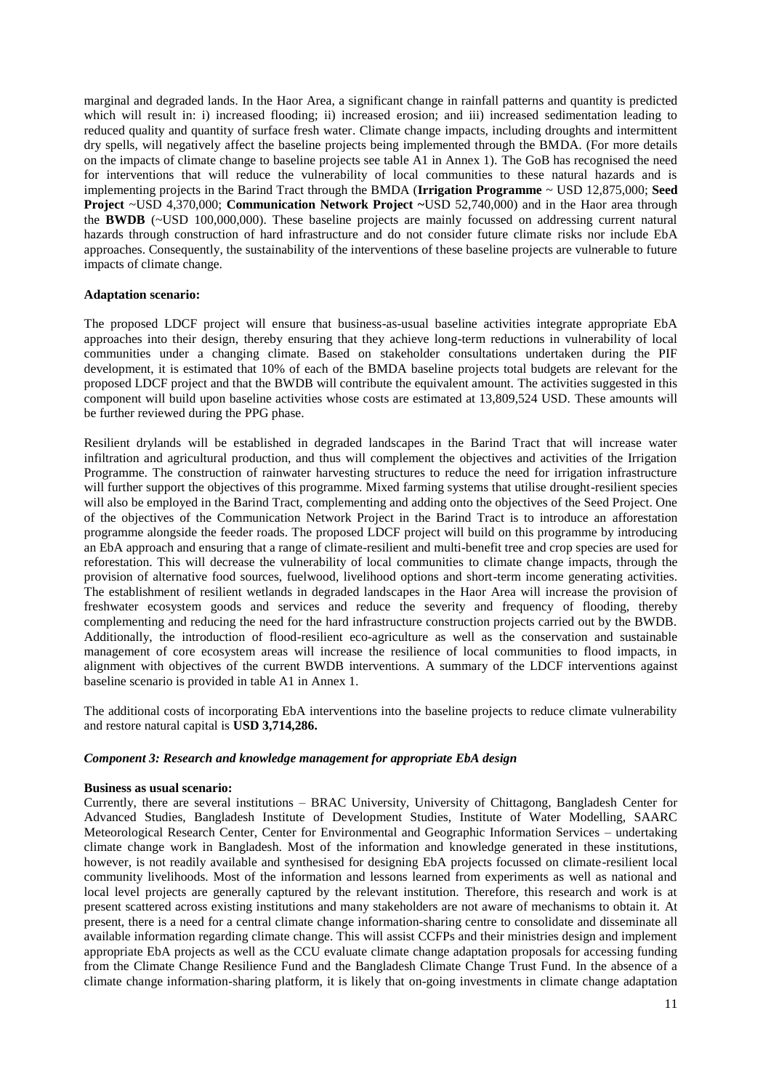marginal and degraded lands. In the Haor Area, a significant change in rainfall patterns and quantity is predicted which will result in: i) increased flooding; ii) increased erosion; and iii) increased sedimentation leading to reduced quality and quantity of surface fresh water. Climate change impacts, including droughts and intermittent dry spells, will negatively affect the baseline projects being implemented through the BMDA. (For more details on the impacts of climate change to baseline projects see table A1 in Annex 1). The GoB has recognised the need for interventions that will reduce the vulnerability of local communities to these natural hazards and is implementing projects in the Barind Tract through the BMDA (**Irrigation Programme** ~ USD 12,875,000; **Seed Project** ~USD 4,370,000; **Communication Network Project ~**USD 52,740,000) and in the Haor area through the **BWDB** (~USD 100,000,000). These baseline projects are mainly focussed on addressing current natural hazards through construction of hard infrastructure and do not consider future climate risks nor include EbA approaches. Consequently, the sustainability of the interventions of these baseline projects are vulnerable to future impacts of climate change.

#### **Adaptation scenario:**

The proposed LDCF project will ensure that business-as-usual baseline activities integrate appropriate EbA approaches into their design, thereby ensuring that they achieve long-term reductions in vulnerability of local communities under a changing climate. Based on stakeholder consultations undertaken during the PIF development, it is estimated that 10% of each of the BMDA baseline projects total budgets are relevant for the proposed LDCF project and that the BWDB will contribute the equivalent amount. The activities suggested in this component will build upon baseline activities whose costs are estimated at 13,809,524 USD. These amounts will be further reviewed during the PPG phase.

Resilient drylands will be established in degraded landscapes in the Barind Tract that will increase water infiltration and agricultural production, and thus will complement the objectives and activities of the Irrigation Programme. The construction of rainwater harvesting structures to reduce the need for irrigation infrastructure will further support the objectives of this programme. Mixed farming systems that utilise drought-resilient species will also be employed in the Barind Tract, complementing and adding onto the objectives of the Seed Project. One of the objectives of the Communication Network Project in the Barind Tract is to introduce an afforestation programme alongside the feeder roads. The proposed LDCF project will build on this programme by introducing an EbA approach and ensuring that a range of climate-resilient and multi-benefit tree and crop species are used for reforestation. This will decrease the vulnerability of local communities to climate change impacts, through the provision of alternative food sources, fuelwood, livelihood options and short-term income generating activities. The establishment of resilient wetlands in degraded landscapes in the Haor Area will increase the provision of freshwater ecosystem goods and services and reduce the severity and frequency of flooding, thereby complementing and reducing the need for the hard infrastructure construction projects carried out by the BWDB. Additionally, the introduction of flood-resilient eco-agriculture as well as the conservation and sustainable management of core ecosystem areas will increase the resilience of local communities to flood impacts, in alignment with objectives of the current BWDB interventions. A summary of the LDCF interventions against baseline scenario is provided in table A1 in Annex 1.

The additional costs of incorporating EbA interventions into the baseline projects to reduce climate vulnerability and restore natural capital is **USD 3,714,286.**

#### *Component 3: Research and knowledge management for appropriate EbA design*

#### **Business as usual scenario:**

Currently, there are several institutions – BRAC University, University of Chittagong, Bangladesh Center for Advanced Studies, Bangladesh Institute of Development Studies, Institute of Water Modelling, SAARC Meteorological Research Center, Center for Environmental and Geographic Information Services – undertaking climate change work in Bangladesh. Most of the information and knowledge generated in these institutions, however, is not readily available and synthesised for designing EbA projects focussed on climate-resilient local community livelihoods. Most of the information and lessons learned from experiments as well as national and local level projects are generally captured by the relevant institution. Therefore, this research and work is at present scattered across existing institutions and many stakeholders are not aware of mechanisms to obtain it. At present, there is a need for a central climate change information-sharing centre to consolidate and disseminate all available information regarding climate change. This will assist CCFPs and their ministries design and implement appropriate EbA projects as well as the CCU evaluate climate change adaptation proposals for accessing funding from the Climate Change Resilience Fund and the Bangladesh Climate Change Trust Fund. In the absence of a climate change information-sharing platform, it is likely that on-going investments in climate change adaptation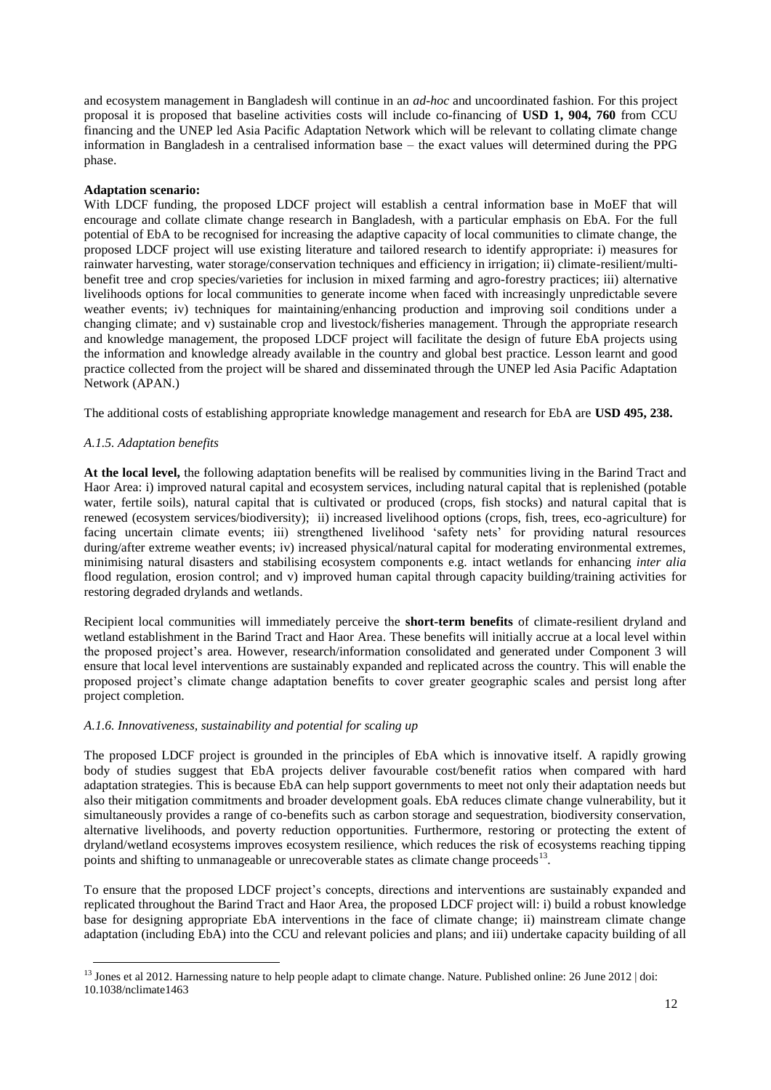and ecosystem management in Bangladesh will continue in an *ad-hoc* and uncoordinated fashion. For this project proposal it is proposed that baseline activities costs will include co-financing of **USD 1, 904, 760** from CCU financing and the UNEP led Asia Pacific Adaptation Network which will be relevant to collating climate change information in Bangladesh in a centralised information base – the exact values will determined during the PPG phase.

#### **Adaptation scenario:**

With LDCF funding, the proposed LDCF project will establish a central information base in MoEF that will encourage and collate climate change research in Bangladesh, with a particular emphasis on EbA. For the full potential of EbA to be recognised for increasing the adaptive capacity of local communities to climate change, the proposed LDCF project will use existing literature and tailored research to identify appropriate: i) measures for rainwater harvesting, water storage/conservation techniques and efficiency in irrigation; ii) climate-resilient/multibenefit tree and crop species/varieties for inclusion in mixed farming and agro-forestry practices; iii) alternative livelihoods options for local communities to generate income when faced with increasingly unpredictable severe weather events; iv) techniques for maintaining/enhancing production and improving soil conditions under a changing climate; and v) sustainable crop and livestock/fisheries management. Through the appropriate research and knowledge management, the proposed LDCF project will facilitate the design of future EbA projects using the information and knowledge already available in the country and global best practice. Lesson learnt and good practice collected from the project will be shared and disseminated through the UNEP led Asia Pacific Adaptation Network (APAN.)

The additional costs of establishing appropriate knowledge management and research for EbA are **USD 495, 238.**

### *A.1.5. Adaptation benefits*

1

**At the local level,** the following adaptation benefits will be realised by communities living in the Barind Tract and Haor Area: i) improved natural capital and ecosystem services, including natural capital that is replenished (potable water, fertile soils), natural capital that is cultivated or produced (crops, fish stocks) and natural capital that is renewed (ecosystem services/biodiversity); ii) increased livelihood options (crops, fish, trees, eco-agriculture) for facing uncertain climate events; iii) strengthened livelihood 'safety nets' for providing natural resources during/after extreme weather events; iv) increased physical/natural capital for moderating environmental extremes, minimising natural disasters and stabilising ecosystem components e.g. intact wetlands for enhancing *inter alia* flood regulation, erosion control; and v) improved human capital through capacity building/training activities for restoring degraded drylands and wetlands.

Recipient local communities will immediately perceive the **short-term benefits** of climate-resilient dryland and wetland establishment in the Barind Tract and Haor Area. These benefits will initially accrue at a local level within the proposed project's area. However, research/information consolidated and generated under Component 3 will ensure that local level interventions are sustainably expanded and replicated across the country. This will enable the proposed project's climate change adaptation benefits to cover greater geographic scales and persist long after project completion.

#### *A.1.6. Innovativeness, sustainability and potential for scaling up*

The proposed LDCF project is grounded in the principles of EbA which is innovative itself. A rapidly growing body of studies suggest that EbA projects deliver favourable cost/benefit ratios when compared with hard adaptation strategies. This is because EbA can help support governments to meet not only their adaptation needs but also their mitigation commitments and broader development goals. EbA reduces climate change vulnerability, but it simultaneously provides a range of co-benefits such as carbon storage and sequestration, biodiversity conservation, alternative livelihoods, and poverty reduction opportunities. Furthermore, restoring or protecting the extent of dryland/wetland ecosystems improves ecosystem resilience, which reduces the risk of ecosystems reaching tipping points and shifting to unmanageable or unrecoverable states as climate change proceeds<sup>13</sup>.

To ensure that the proposed LDCF project's concepts, directions and interventions are sustainably expanded and replicated throughout the Barind Tract and Haor Area, the proposed LDCF project will: i) build a robust knowledge base for designing appropriate EbA interventions in the face of climate change; ii) mainstream climate change adaptation (including EbA) into the CCU and relevant policies and plans; and iii) undertake capacity building of all

<sup>&</sup>lt;sup>13</sup> Jones et al 2012. Harnessing nature to help people adapt to climate change. Nature. Published online: 26 June 2012 | doi: 10.1038/nclimate1463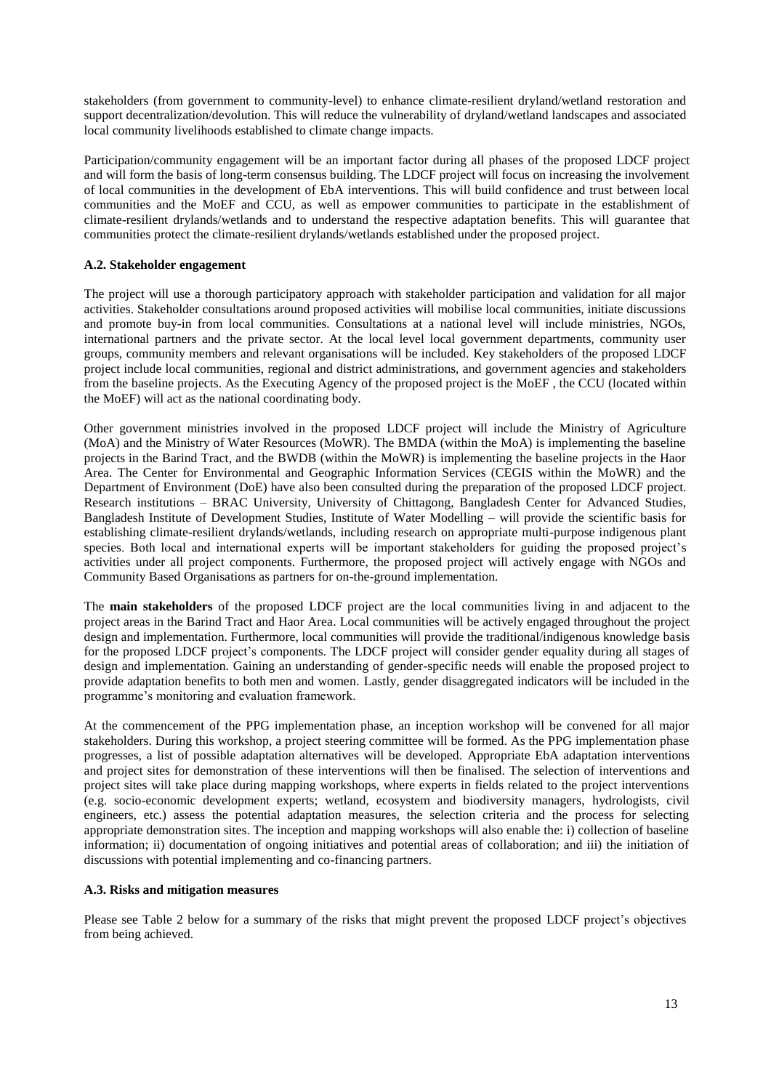stakeholders (from government to community-level) to enhance climate-resilient dryland/wetland restoration and support decentralization/devolution. This will reduce the vulnerability of dryland/wetland landscapes and associated local community livelihoods established to climate change impacts.

Participation/community engagement will be an important factor during all phases of the proposed LDCF project and will form the basis of long-term consensus building. The LDCF project will focus on increasing the involvement of local communities in the development of EbA interventions. This will build confidence and trust between local communities and the MoEF and CCU, as well as empower communities to participate in the establishment of climate-resilient drylands/wetlands and to understand the respective adaptation benefits. This will guarantee that communities protect the climate-resilient drylands/wetlands established under the proposed project.

## **A.2. Stakeholder engagement**

The project will use a thorough participatory approach with stakeholder participation and validation for all major activities. Stakeholder consultations around proposed activities will mobilise local communities, initiate discussions and promote buy-in from local communities. Consultations at a national level will include ministries, NGOs, international partners and the private sector. At the local level local government departments, community user groups, community members and relevant organisations will be included. Key stakeholders of the proposed LDCF project include local communities, regional and district administrations, and government agencies and stakeholders from the baseline projects. As the Executing Agency of the proposed project is the MoEF , the CCU (located within the MoEF) will act as the national coordinating body.

Other government ministries involved in the proposed LDCF project will include the Ministry of Agriculture (MoA) and the Ministry of Water Resources (MoWR). The BMDA (within the MoA) is implementing the baseline projects in the Barind Tract, and the BWDB (within the MoWR) is implementing the baseline projects in the Haor Area. The Center for Environmental and Geographic Information Services (CEGIS within the MoWR) and the Department of Environment (DoE) have also been consulted during the preparation of the proposed LDCF project. Research institutions – BRAC University, University of Chittagong, Bangladesh Center for Advanced Studies, Bangladesh Institute of Development Studies, Institute of Water Modelling – will provide the scientific basis for establishing climate-resilient drylands/wetlands, including research on appropriate multi-purpose indigenous plant species. Both local and international experts will be important stakeholders for guiding the proposed project's activities under all project components. Furthermore, the proposed project will actively engage with NGOs and Community Based Organisations as partners for on-the-ground implementation.

The **main stakeholders** of the proposed LDCF project are the local communities living in and adjacent to the project areas in the Barind Tract and Haor Area. Local communities will be actively engaged throughout the project design and implementation. Furthermore, local communities will provide the traditional/indigenous knowledge basis for the proposed LDCF project's components. The LDCF project will consider gender equality during all stages of design and implementation. Gaining an understanding of gender-specific needs will enable the proposed project to provide adaptation benefits to both men and women. Lastly, gender disaggregated indicators will be included in the programme's monitoring and evaluation framework.

At the commencement of the PPG implementation phase, an inception workshop will be convened for all major stakeholders. During this workshop, a project steering committee will be formed. As the PPG implementation phase progresses, a list of possible adaptation alternatives will be developed. Appropriate EbA adaptation interventions and project sites for demonstration of these interventions will then be finalised. The selection of interventions and project sites will take place during mapping workshops, where experts in fields related to the project interventions (e.g. socio-economic development experts; wetland, ecosystem and biodiversity managers, hydrologists, civil engineers, etc.) assess the potential adaptation measures, the selection criteria and the process for selecting appropriate demonstration sites. The inception and mapping workshops will also enable the: i) collection of baseline information; ii) documentation of ongoing initiatives and potential areas of collaboration; and iii) the initiation of discussions with potential implementing and co-financing partners.

### **A.3. Risks and mitigation measures**

Please see Table 2 below for a summary of the risks that might prevent the proposed LDCF project's objectives from being achieved.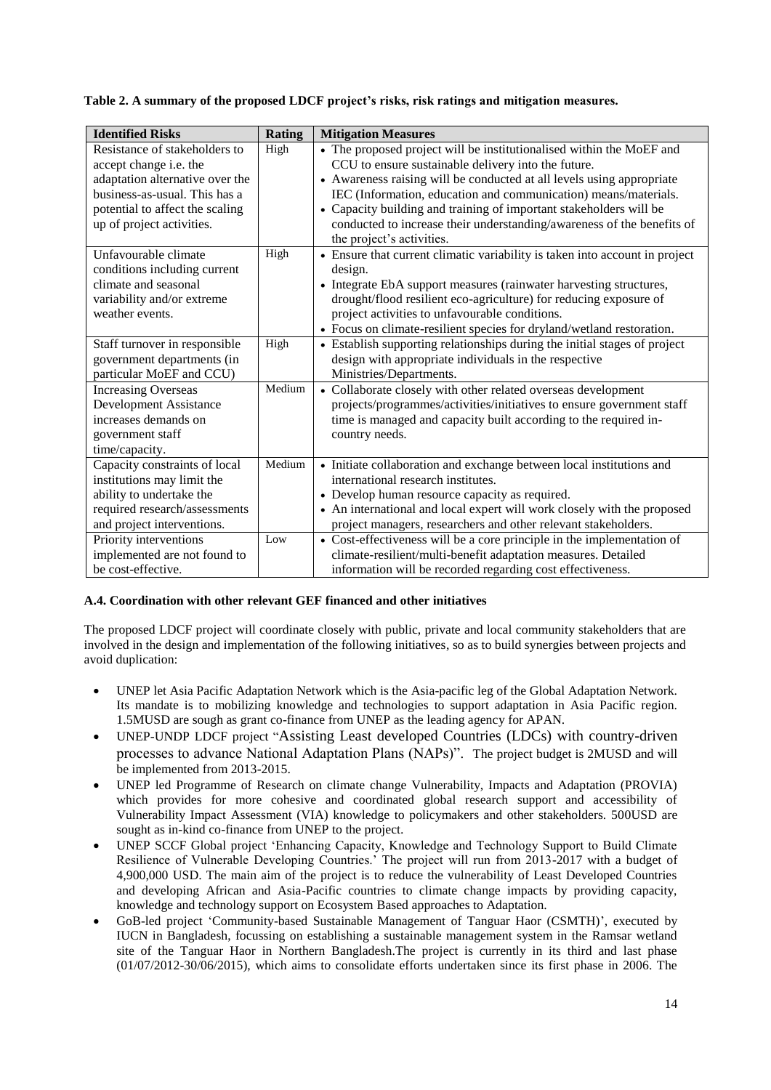## **Table 2. A summary of the proposed LDCF project's risks, risk ratings and mitigation measures.**

| <b>Identified Risks</b>                                                                                                                                                                     | Rating | <b>Mitigation Measures</b>                                                                                                                                                                                                                                                                                                                                                                                                                           |
|---------------------------------------------------------------------------------------------------------------------------------------------------------------------------------------------|--------|------------------------------------------------------------------------------------------------------------------------------------------------------------------------------------------------------------------------------------------------------------------------------------------------------------------------------------------------------------------------------------------------------------------------------------------------------|
| Resistance of stakeholders to<br>accept change i.e. the<br>adaptation alternative over the<br>business-as-usual. This has a<br>potential to affect the scaling<br>up of project activities. | High   | • The proposed project will be institutionalised within the MoEF and<br>CCU to ensure sustainable delivery into the future.<br>• Awareness raising will be conducted at all levels using appropriate<br>IEC (Information, education and communication) means/materials.<br>• Capacity building and training of important stakeholders will be<br>conducted to increase their understanding/awareness of the benefits of<br>the project's activities. |
| Unfavourable climate<br>conditions including current<br>climate and seasonal<br>variability and/or extreme<br>weather events.                                                               | High   | • Ensure that current climatic variability is taken into account in project<br>design.<br>• Integrate EbA support measures (rainwater harvesting structures,<br>drought/flood resilient eco-agriculture) for reducing exposure of<br>project activities to unfavourable conditions.<br>• Focus on climate-resilient species for dryland/wetland restoration.                                                                                         |
| Staff turnover in responsible<br>government departments (in<br>particular MoEF and CCU)                                                                                                     | High   | • Establish supporting relationships during the initial stages of project<br>design with appropriate individuals in the respective<br>Ministries/Departments.                                                                                                                                                                                                                                                                                        |
| <b>Increasing Overseas</b><br>Development Assistance<br>increases demands on<br>government staff<br>time/capacity.                                                                          | Medium | • Collaborate closely with other related overseas development<br>projects/programmes/activities/initiatives to ensure government staff<br>time is managed and capacity built according to the required in-<br>country needs.                                                                                                                                                                                                                         |
| Capacity constraints of local<br>institutions may limit the<br>ability to undertake the<br>required research/assessments<br>and project interventions.                                      | Medium | • Initiate collaboration and exchange between local institutions and<br>international research institutes.<br>• Develop human resource capacity as required.<br>• An international and local expert will work closely with the proposed<br>project managers, researchers and other relevant stakeholders.                                                                                                                                            |
| Priority interventions<br>implemented are not found to<br>be cost-effective.                                                                                                                | Low    | • Cost-effectiveness will be a core principle in the implementation of<br>climate-resilient/multi-benefit adaptation measures. Detailed<br>information will be recorded regarding cost effectiveness.                                                                                                                                                                                                                                                |

# **A.4. Coordination with other relevant GEF financed and other initiatives**

The proposed LDCF project will coordinate closely with public, private and local community stakeholders that are involved in the design and implementation of the following initiatives, so as to build synergies between projects and avoid duplication:

- UNEP let Asia Pacific Adaptation Network which is the Asia-pacific leg of the Global Adaptation Network. Its mandate is to mobilizing knowledge and technologies to support adaptation in Asia Pacific region. 1.5MUSD are sough as grant co-finance from UNEP as the leading agency for APAN.
- UNEP-UNDP LDCF project "Assisting Least developed Countries (LDCs) with country-driven processes to advance National Adaptation Plans (NAPs)". The project budget is 2MUSD and will be implemented from 2013-2015.
- UNEP led Programme of Research on climate change Vulnerability, Impacts and Adaptation (PROVIA) which provides for more cohesive and coordinated global research support and accessibility of Vulnerability Impact Assessment (VIA) knowledge to policymakers and other stakeholders. 500USD are sought as in-kind co-finance from UNEP to the project.
- UNEP SCCF Global project 'Enhancing Capacity, Knowledge and Technology Support to Build Climate Resilience of Vulnerable Developing Countries.' The project will run from 2013-2017 with a budget of 4,900,000 USD. The main aim of the project is to reduce the vulnerability of Least Developed Countries and developing African and Asia-Pacific countries to climate change impacts by providing capacity, knowledge and technology support on Ecosystem Based approaches to Adaptation.
- GoB-led project 'Community-based Sustainable Management of Tanguar Haor (CSMTH)', executed by IUCN in Bangladesh, focussing on establishing a sustainable management system in the Ramsar wetland site of the Tanguar Haor in Northern Bangladesh.The project is currently in its third and last phase (01/07/2012-30/06/2015), which aims to consolidate efforts undertaken since its first phase in 2006. The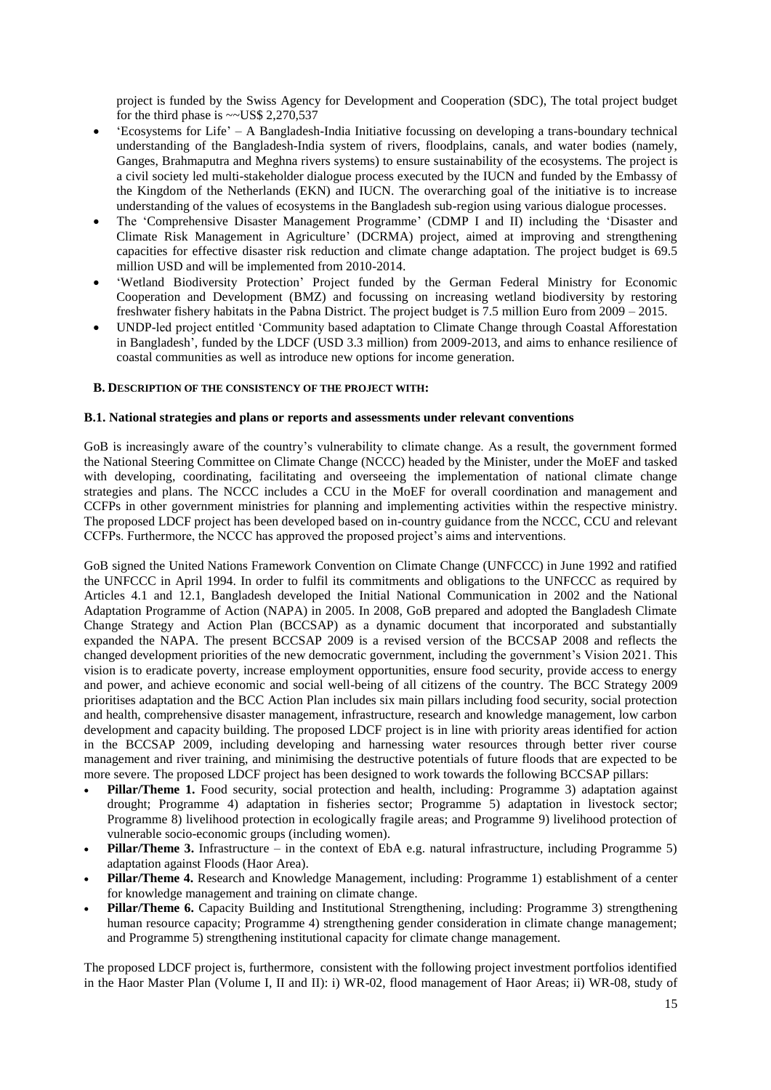project is funded by the Swiss Agency for Development and Cooperation (SDC), The total project budget for the third phase is  $\sim$  US\$ 2,270,537

- 'Ecosystems for Life' A Bangladesh-India Initiative focussing on developing a trans-boundary technical understanding of the Bangladesh-India system of rivers, floodplains, canals, and water bodies (namely, Ganges, Brahmaputra and Meghna rivers systems) to ensure sustainability of the ecosystems. The project is a civil society led multi-stakeholder dialogue process executed by the IUCN and funded by the Embassy of the Kingdom of the Netherlands (EKN) and IUCN. The overarching goal of the initiative is to increase understanding of the values of ecosystems in the Bangladesh sub-region using various dialogue processes.
- The 'Comprehensive Disaster Management Programme' (CDMP I and II) including the 'Disaster and Climate Risk Management in Agriculture' (DCRMA) project, aimed at improving and strengthening capacities for effective disaster risk reduction and climate change adaptation. The project budget is 69.5 million USD and will be implemented from 2010-2014.
- 'Wetland Biodiversity Protection' Project funded by the German Federal Ministry for Economic Cooperation and Development (BMZ) and focussing on increasing wetland biodiversity by restoring freshwater fishery habitats in the Pabna District. The project budget is 7.5 million Euro from 2009 – 2015.
- UNDP-led project entitled 'Community based adaptation to Climate Change through Coastal Afforestation in Bangladesh', funded by the LDCF (USD 3.3 million) from 2009-2013, and aims to enhance resilience of coastal communities as well as introduce new options for income generation.

#### **B. DESCRIPTION OF THE CONSISTENCY OF THE PROJECT WITH:**

### **B.1. National strategies and plans or reports and assessments under relevant conventions**

GoB is increasingly aware of the country's vulnerability to climate change. As a result, the government formed the National Steering Committee on Climate Change (NCCC) headed by the Minister, under the MoEF and tasked with developing, coordinating, facilitating and overseeing the implementation of national climate change strategies and plans. The NCCC includes a CCU in the MoEF for overall coordination and management and CCFPs in other government ministries for planning and implementing activities within the respective ministry. The proposed LDCF project has been developed based on in-country guidance from the NCCC, CCU and relevant CCFPs. Furthermore, the NCCC has approved the proposed project's aims and interventions.

GoB signed the United Nations Framework Convention on Climate Change (UNFCCC) in June 1992 and ratified the UNFCCC in April 1994. In order to fulfil its commitments and obligations to the UNFCCC as required by Articles 4.1 and 12.1, Bangladesh developed the Initial National Communication in 2002 and the National Adaptation Programme of Action (NAPA) in 2005. In 2008, GoB prepared and adopted the Bangladesh Climate Change Strategy and Action Plan (BCCSAP) as a dynamic document that incorporated and substantially expanded the NAPA. The present BCCSAP 2009 is a revised version of the BCCSAP 2008 and reflects the changed development priorities of the new democratic government, including the government's Vision 2021. This vision is to eradicate poverty, increase employment opportunities, ensure food security, provide access to energy and power, and achieve economic and social well-being of all citizens of the country. The BCC Strategy 2009 prioritises adaptation and the BCC Action Plan includes six main pillars including food security, social protection and health, comprehensive disaster management, infrastructure, research and knowledge management, low carbon development and capacity building. The proposed LDCF project is in line with priority areas identified for action in the BCCSAP 2009, including developing and harnessing water resources through better river course management and river training, and minimising the destructive potentials of future floods that are expected to be more severe. The proposed LDCF project has been designed to work towards the following BCCSAP pillars:

- **Pillar/Theme 1.** Food security, social protection and health, including: Programme 3) adaptation against drought; Programme 4) adaptation in fisheries sector; Programme 5) adaptation in livestock sector; Programme 8) livelihood protection in ecologically fragile areas; and Programme 9) livelihood protection of vulnerable socio-economic groups (including women).
- **Pillar/Theme 3.** Infrastructure in the context of EbA e.g. natural infrastructure, including Programme 5) adaptation against Floods (Haor Area).
- **Pillar/Theme 4.** Research and Knowledge Management, including: Programme 1) establishment of a center for knowledge management and training on climate change.
- **Pillar/Theme 6.** Capacity Building and Institutional Strengthening, including: Programme 3) strengthening human resource capacity; Programme 4) strengthening gender consideration in climate change management; and Programme 5) strengthening institutional capacity for climate change management.

The proposed LDCF project is, furthermore, consistent with the following project investment portfolios identified in the Haor Master Plan (Volume I, II and II): i) WR-02, flood management of Haor Areas; ii) WR-08, study of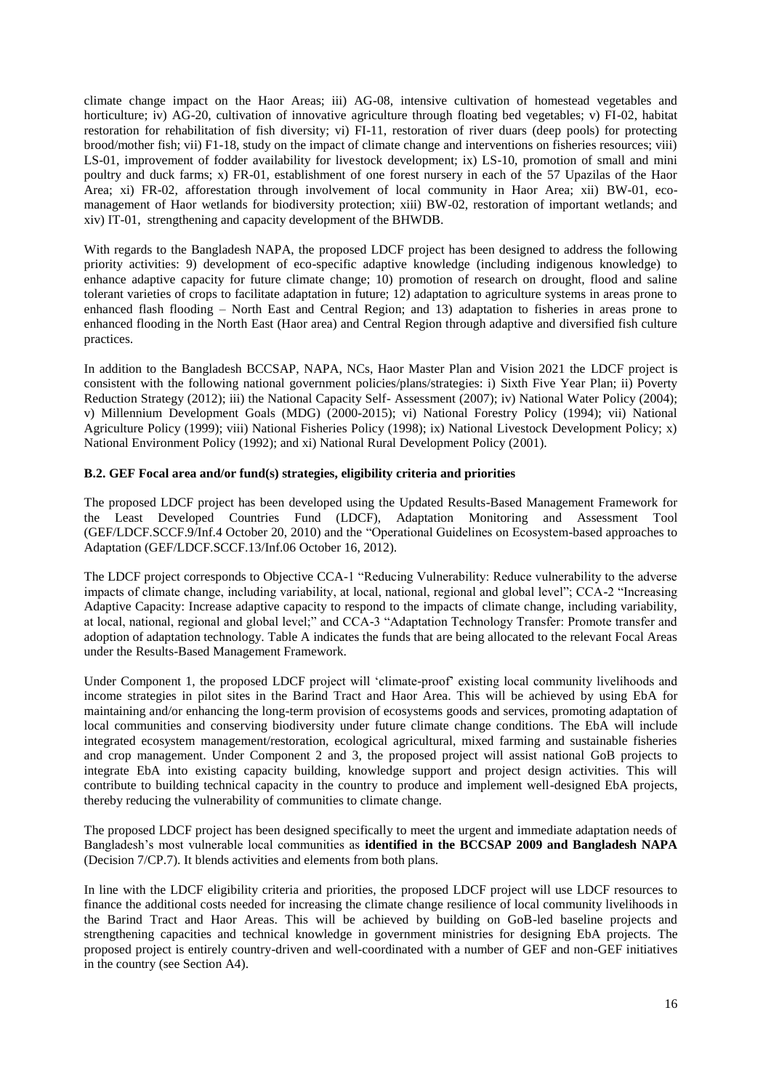climate change impact on the Haor Areas; iii) AG-08, intensive cultivation of homestead vegetables and horticulture; iv) AG-20, cultivation of innovative agriculture through floating bed vegetables; v) FI-02, habitat restoration for rehabilitation of fish diversity; vi) FI-11, restoration of river duars (deep pools) for protecting brood/mother fish; vii) F1-18, study on the impact of climate change and interventions on fisheries resources; viii) LS-01, improvement of fodder availability for livestock development; ix) LS-10, promotion of small and mini poultry and duck farms; x) FR-01, establishment of one forest nursery in each of the 57 Upazilas of the Haor Area; xi) FR-02, afforestation through involvement of local community in Haor Area; xii) BW-01, ecomanagement of Haor wetlands for biodiversity protection; xiii) BW-02, restoration of important wetlands; and xiv) IT-01, strengthening and capacity development of the BHWDB.

With regards to the Bangladesh NAPA, the proposed LDCF project has been designed to address the following priority activities: 9) development of eco-specific adaptive knowledge (including indigenous knowledge) to enhance adaptive capacity for future climate change; 10) promotion of research on drought, flood and saline tolerant varieties of crops to facilitate adaptation in future; 12) adaptation to agriculture systems in areas prone to enhanced flash flooding – North East and Central Region; and 13) adaptation to fisheries in areas prone to enhanced flooding in the North East (Haor area) and Central Region through adaptive and diversified fish culture practices.

In addition to the Bangladesh BCCSAP, NAPA, NCs, Haor Master Plan and Vision 2021 the LDCF project is consistent with the following national government policies/plans/strategies: i) Sixth Five Year Plan; ii) Poverty Reduction Strategy (2012); iii) the National Capacity Self- Assessment (2007); iv) National Water Policy (2004); v) Millennium Development Goals (MDG) (2000-2015); vi) National Forestry Policy (1994); vii) National Agriculture Policy (1999); viii) National Fisheries Policy (1998); ix) National Livestock Development Policy; x) National Environment Policy (1992); and xi) National Rural Development Policy (2001).

### **B.2. GEF Focal area and/or fund(s) strategies, eligibility criteria and priorities**

The proposed LDCF project has been developed using the Updated Results-Based Management Framework for the Least Developed Countries Fund (LDCF), Adaptation Monitoring and Assessment Tool (GEF/LDCF.SCCF.9/Inf.4 October 20, 2010) and the "Operational Guidelines on Ecosystem-based approaches to Adaptation (GEF/LDCF.SCCF.13/Inf.06 October 16, 2012).

The LDCF project corresponds to Objective CCA-1 "Reducing Vulnerability: Reduce vulnerability to the adverse impacts of climate change, including variability, at local, national, regional and global level"; CCA-2 "Increasing Adaptive Capacity: Increase adaptive capacity to respond to the impacts of climate change, including variability, at local, national, regional and global level;" and CCA-3 "Adaptation Technology Transfer: Promote transfer and adoption of adaptation technology. Table A indicates the funds that are being allocated to the relevant Focal Areas under the Results-Based Management Framework.

Under Component 1, the proposed LDCF project will 'climate-proof' existing local community livelihoods and income strategies in pilot sites in the Barind Tract and Haor Area. This will be achieved by using EbA for maintaining and/or enhancing the long-term provision of ecosystems goods and services, promoting adaptation of local communities and conserving biodiversity under future climate change conditions. The EbA will include integrated ecosystem management/restoration, ecological agricultural, mixed farming and sustainable fisheries and crop management. Under Component 2 and 3, the proposed project will assist national GoB projects to integrate EbA into existing capacity building, knowledge support and project design activities. This will contribute to building technical capacity in the country to produce and implement well-designed EbA projects, thereby reducing the vulnerability of communities to climate change.

The proposed LDCF project has been designed specifically to meet the urgent and immediate adaptation needs of Bangladesh's most vulnerable local communities as **identified in the BCCSAP 2009 and Bangladesh NAPA**  (Decision 7/CP.7). It blends activities and elements from both plans.

In line with the LDCF eligibility criteria and priorities, the proposed LDCF project will use LDCF resources to finance the additional costs needed for increasing the climate change resilience of local community livelihoods in the Barind Tract and Haor Areas. This will be achieved by building on GoB-led baseline projects and strengthening capacities and technical knowledge in government ministries for designing EbA projects. The proposed project is entirely country-driven and well-coordinated with a number of GEF and non-GEF initiatives in the country (see Section A4).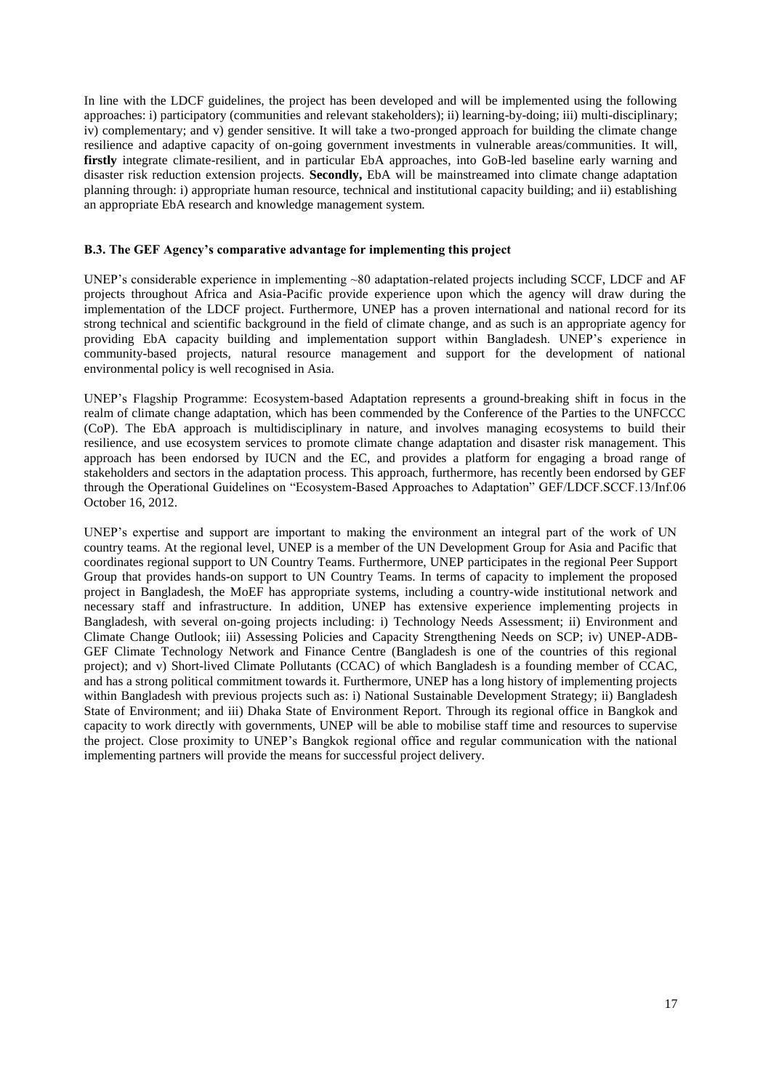In line with the LDCF guidelines, the project has been developed and will be implemented using the following approaches: i) participatory (communities and relevant stakeholders); ii) learning-by-doing; iii) multi-disciplinary; iv) complementary; and v) gender sensitive. It will take a two-pronged approach for building the climate change resilience and adaptive capacity of on-going government investments in vulnerable areas/communities. It will, **firstly** integrate climate-resilient, and in particular EbA approaches, into GoB-led baseline early warning and disaster risk reduction extension projects. **Secondly,** EbA will be mainstreamed into climate change adaptation planning through: i) appropriate human resource, technical and institutional capacity building; and ii) establishing an appropriate EbA research and knowledge management system.

#### **B.3. The GEF Agency's comparative advantage for implementing this project**

UNEP's considerable experience in implementing ~80 adaptation-related projects including SCCF, LDCF and AF projects throughout Africa and Asia-Pacific provide experience upon which the agency will draw during the implementation of the LDCF project. Furthermore, UNEP has a proven international and national record for its strong technical and scientific background in the field of climate change, and as such is an appropriate agency for providing EbA capacity building and implementation support within Bangladesh. UNEP's experience in community-based projects, natural resource management and support for the development of national environmental policy is well recognised in Asia.

UNEP's Flagship Programme: Ecosystem-based Adaptation represents a ground-breaking shift in focus in the realm of climate change adaptation, which has been commended by the Conference of the Parties to the UNFCCC (CoP). The EbA approach is multidisciplinary in nature, and involves managing ecosystems to build their resilience, and use ecosystem services to promote climate change adaptation and disaster risk management. This approach has been endorsed by IUCN and the EC, and provides a platform for engaging a broad range of stakeholders and sectors in the adaptation process. This approach, furthermore, has recently been endorsed by GEF through the Operational Guidelines on "Ecosystem-Based Approaches to Adaptation" GEF/LDCF.SCCF.13/Inf.06 October 16, 2012.

UNEP's expertise and support are important to making the environment an integral part of the work of UN country teams. At the regional level, UNEP is a member of the UN Development Group for Asia and Pacific that coordinates regional support to UN Country Teams. Furthermore, UNEP participates in the regional Peer Support Group that provides hands-on support to UN Country Teams. In terms of capacity to implement the proposed project in Bangladesh, the MoEF has appropriate systems, including a country-wide institutional network and necessary staff and infrastructure. In addition, UNEP has extensive experience implementing projects in Bangladesh, with several on-going projects including: i) Technology Needs Assessment; ii) Environment and Climate Change Outlook; iii) Assessing Policies and Capacity Strengthening Needs on SCP; iv) UNEP-ADB-GEF Climate Technology Network and Finance Centre (Bangladesh is one of the countries of this regional project); and v) Short-lived Climate Pollutants (CCAC) of which Bangladesh is a founding member of CCAC, and has a strong political commitment towards it. Furthermore, UNEP has a long history of implementing projects within Bangladesh with previous projects such as: i) National Sustainable Development Strategy; ii) Bangladesh State of Environment; and iii) Dhaka State of Environment Report. Through its regional office in Bangkok and capacity to work directly with governments, UNEP will be able to mobilise staff time and resources to supervise the project. Close proximity to UNEP's Bangkok regional office and regular communication with the national implementing partners will provide the means for successful project delivery.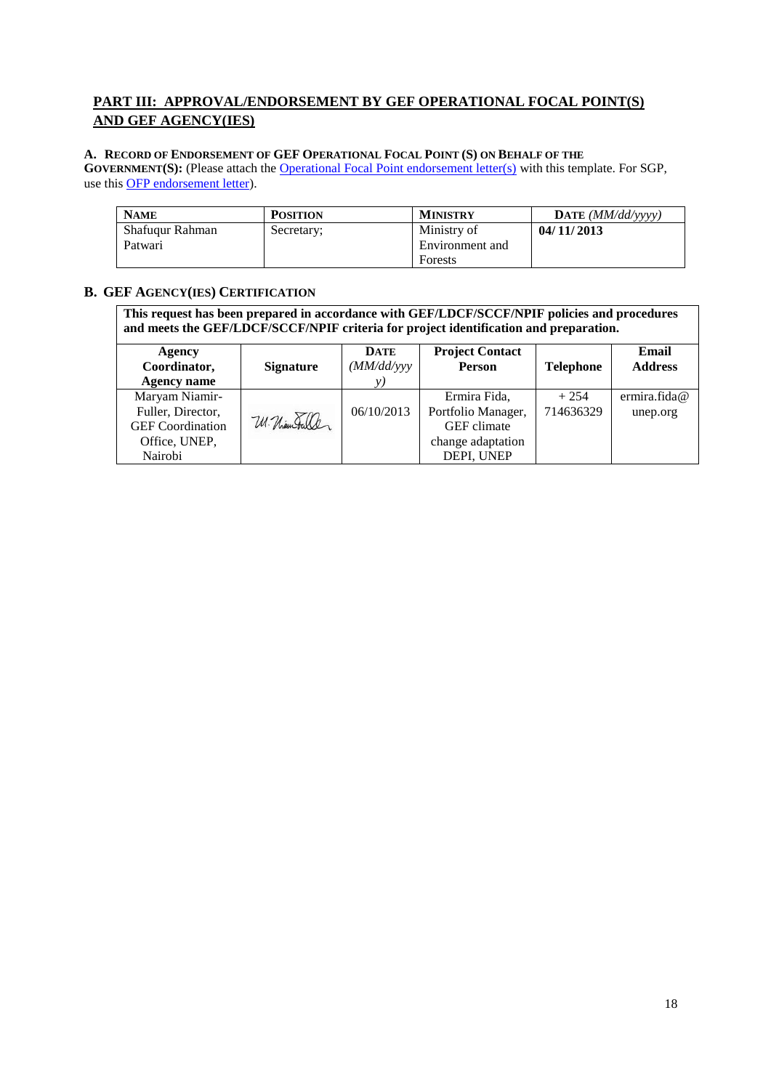# **PART III: APPROVAL/ENDORSEMENT BY GEF OPERATIONAL FOCAL POINT(S) AND GEF AGENCY(IES)**

# **A. RECORD OF ENDORSEMENT OF GEF OPERATIONAL FOCAL POINT (S) ON BEHALF OF THE**

**GOVERNMENT(S):** (Please attach the **[Operational Focal Point endorsement letter\(s\)](http://www.thegef.org/gef/sites/thegef.org/files/documents/OFP%20Endorsement%20Letter%20Template%2009-29-2010.doc)** with this template. For SGP, use thi[s OFP endorsement letter\)](http://www.thegef.org/gef/sites/thegef.org/files/documents/OFP%20Endorsement%20Letter%20Template%20for%20SGP%2009-08-2010.doc).

| <b>NAME</b>     | <b>POSITION</b> | <b>MINISTRY</b> | <b>DATE</b> ( <i>MM/dd/vvvv</i> ) |
|-----------------|-----------------|-----------------|-----------------------------------|
| Shafuqur Rahman | Secretary:      | Ministry of     | 04/11/2013                        |
| Patwari         |                 | Environment and |                                   |
|                 |                 | Forests         |                                   |

# **B. GEF AGENCY(IES) CERTIFICATION**

**This request has been prepared in accordance with GEF/LDCF/SCCF/NPIF policies and procedures and meets the GEF/LDCF/SCCF/NPIF criteria for project identification and preparation.**

| Agency<br>Coordinator,<br><b>Agency name</b> | <b>Signature</b> | <b>DATE</b><br>(MM/dd/yy)<br>v) | <b>Project Contact</b><br>Person | <b>Telephone</b> | Email<br><b>Address</b> |
|----------------------------------------------|------------------|---------------------------------|----------------------------------|------------------|-------------------------|
| Maryam Niamir-                               |                  |                                 | Ermira Fida,                     | $+254$           | ermira.fida@            |
| Fuller, Director,                            |                  | 06/10/2013                      | Portfolio Manager,               | 714636329        | unep.org                |
| <b>GEF</b> Coordination                      | W. Niam Fuller   |                                 | <b>GEF</b> climate               |                  |                         |
| Office, UNEP,                                |                  |                                 | change adaptation                |                  |                         |
| Nairobi                                      |                  |                                 | DEPI, UNEP                       |                  |                         |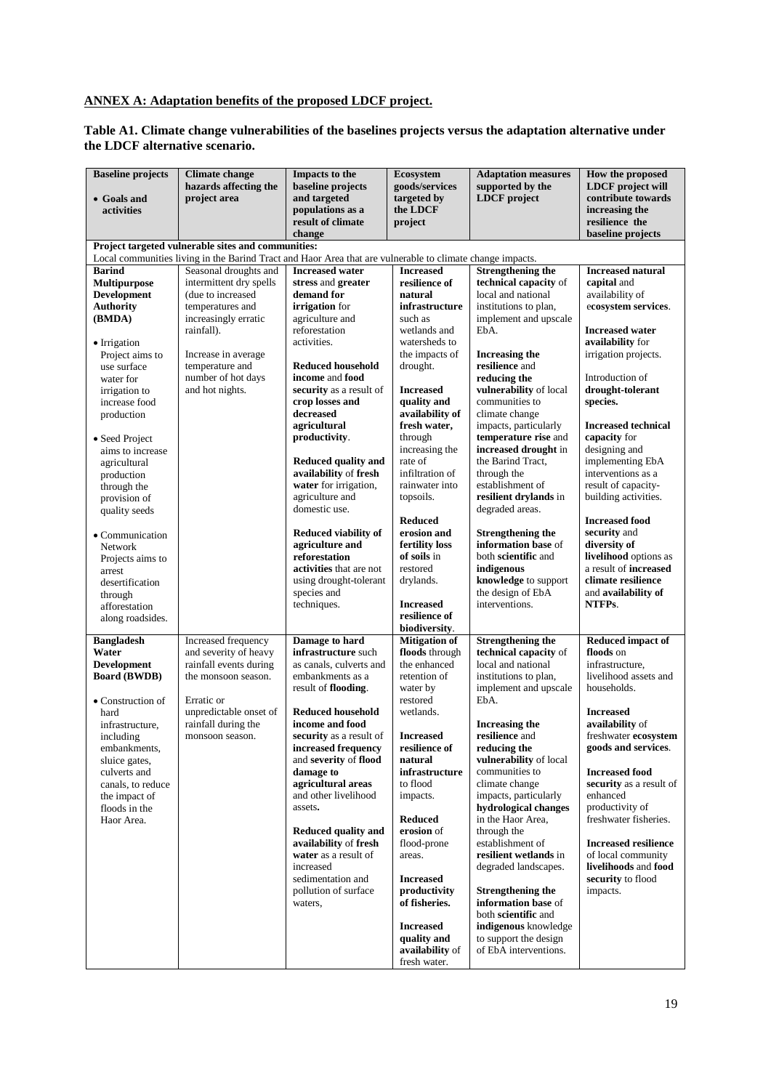# **ANNEX A: Adaptation benefits of the proposed LDCF project.**

#### **Table A1. Climate change vulnerabilities of the baselines projects versus the adaptation alternative under the LDCF alternative scenario.**

| and targeted<br><b>LDCF</b> project<br>contribute towards<br>project area<br>targeted by<br>• Goals and<br>populations as a<br>the LDCF<br>increasing the<br>activities<br>result of climate<br>resilience the<br>project<br>baseline projects<br>change<br>Project targeted vulnerable sites and communities:<br>Local communities living in the Barind Tract and Haor Area that are vulnerable to climate change impacts.<br><b>Strengthening the</b><br><b>Barind</b><br>Seasonal droughts and<br><b>Increased</b><br><b>Increased water</b><br><b>Multipurpose</b><br>intermittent dry spells<br>resilience of<br>technical capacity of<br>capital and<br>stress and greater<br><b>Development</b><br>(due to increased<br>demand for<br>local and national<br>availability of<br>natural<br><b>Authority</b><br>temperatures and<br>irrigation for<br>infrastructure<br>institutions to plan,<br>increasingly erratic<br>agriculture and<br>implement and upscale<br>(BMDA)<br>such as<br>reforestation<br>wetlands and<br><b>Increased water</b><br>rainfall).<br>EbA.<br>activities.<br>availability for<br>watersheds to<br>• Irrigation<br>the impacts of<br>irrigation projects.<br>Project aims to<br>Increase in average<br>Increasing the<br>resilience and<br>temperature and<br><b>Reduced household</b><br>drought.<br>use surface<br>number of hot days<br>reducing the<br>Introduction of<br>income and food<br>water for<br>and hot nights.<br>vulnerability of local<br>drought-tolerant<br>security as a result of<br><b>Increased</b><br>irrigation to<br>communities to<br>crop losses and<br>quality and<br>species.<br>increase food<br>decreased<br>availability of<br>climate change<br>production<br>fresh water,<br>agricultural<br>impacts, particularly<br>temperature rise and<br>productivity.<br>through<br>capacity for<br>• Seed Project<br>increased drought in<br>increasing the<br>designing and<br>aims to increase<br><b>Reduced quality and</b><br>rate of<br>the Barind Tract,<br>implementing EbA<br>agricultural<br>availability of fresh<br>infiltration of<br>interventions as a<br>through the<br>production<br>water for irrigation,<br>rainwater into<br>establishment of<br>result of capacity-<br>through the<br>agriculture and<br>resilient drylands in<br>building activities.<br>topsoils.<br>provision of<br>domestic use.<br>degraded areas.<br>quality seeds<br><b>Reduced</b><br><b>Increased food</b><br>erosion and<br>security and<br><b>Reduced viability of</b><br><b>Strengthening the</b><br>• Communication<br>agriculture and<br>fertility loss<br>information base of<br>diversity of<br>Network<br>of soils in<br>both scientific and<br>reforestation<br>Projects aims to<br>restored<br>activities that are not<br>indigenous<br>arrest<br>using drought-tolerant<br>drylands.<br>knowledge to support<br>climate resilience<br>desertification<br>species and<br>the design of EbA<br>and availability of<br>through<br>techniques.<br>interventions.<br>NTFPs.<br><b>Increased</b><br>afforestation<br>resilience of<br>along roadsides.<br>biodiversity. | <b>Baseline projects</b> | <b>Climate change</b> | Impacts to the    | <b>Ecosystem</b>     | <b>Adaptation measures</b> | How the proposed            |
|--------------------------------------------------------------------------------------------------------------------------------------------------------------------------------------------------------------------------------------------------------------------------------------------------------------------------------------------------------------------------------------------------------------------------------------------------------------------------------------------------------------------------------------------------------------------------------------------------------------------------------------------------------------------------------------------------------------------------------------------------------------------------------------------------------------------------------------------------------------------------------------------------------------------------------------------------------------------------------------------------------------------------------------------------------------------------------------------------------------------------------------------------------------------------------------------------------------------------------------------------------------------------------------------------------------------------------------------------------------------------------------------------------------------------------------------------------------------------------------------------------------------------------------------------------------------------------------------------------------------------------------------------------------------------------------------------------------------------------------------------------------------------------------------------------------------------------------------------------------------------------------------------------------------------------------------------------------------------------------------------------------------------------------------------------------------------------------------------------------------------------------------------------------------------------------------------------------------------------------------------------------------------------------------------------------------------------------------------------------------------------------------------------------------------------------------------------------------------------------------------------------------------------------------------------------------------------------------------------------------------------------------------------------------------------------------------------------------------------------------------------------------------------------------------------------------------------------------------------------------------------------------------------------------------------------------------------------------------------------------------------------------------------------------------------------------------------------------------------------------------------------|--------------------------|-----------------------|-------------------|----------------------|----------------------------|-----------------------------|
|                                                                                                                                                                                                                                                                                                                                                                                                                                                                                                                                                                                                                                                                                                                                                                                                                                                                                                                                                                                                                                                                                                                                                                                                                                                                                                                                                                                                                                                                                                                                                                                                                                                                                                                                                                                                                                                                                                                                                                                                                                                                                                                                                                                                                                                                                                                                                                                                                                                                                                                                                                                                                                                                                                                                                                                                                                                                                                                                                                                                                                                                                                                                      |                          | hazards affecting the | baseline projects | goods/services       | supported by the           | <b>LDCF</b> project will    |
|                                                                                                                                                                                                                                                                                                                                                                                                                                                                                                                                                                                                                                                                                                                                                                                                                                                                                                                                                                                                                                                                                                                                                                                                                                                                                                                                                                                                                                                                                                                                                                                                                                                                                                                                                                                                                                                                                                                                                                                                                                                                                                                                                                                                                                                                                                                                                                                                                                                                                                                                                                                                                                                                                                                                                                                                                                                                                                                                                                                                                                                                                                                                      |                          |                       |                   |                      |                            |                             |
|                                                                                                                                                                                                                                                                                                                                                                                                                                                                                                                                                                                                                                                                                                                                                                                                                                                                                                                                                                                                                                                                                                                                                                                                                                                                                                                                                                                                                                                                                                                                                                                                                                                                                                                                                                                                                                                                                                                                                                                                                                                                                                                                                                                                                                                                                                                                                                                                                                                                                                                                                                                                                                                                                                                                                                                                                                                                                                                                                                                                                                                                                                                                      |                          |                       |                   |                      |                            |                             |
|                                                                                                                                                                                                                                                                                                                                                                                                                                                                                                                                                                                                                                                                                                                                                                                                                                                                                                                                                                                                                                                                                                                                                                                                                                                                                                                                                                                                                                                                                                                                                                                                                                                                                                                                                                                                                                                                                                                                                                                                                                                                                                                                                                                                                                                                                                                                                                                                                                                                                                                                                                                                                                                                                                                                                                                                                                                                                                                                                                                                                                                                                                                                      |                          |                       |                   |                      |                            |                             |
|                                                                                                                                                                                                                                                                                                                                                                                                                                                                                                                                                                                                                                                                                                                                                                                                                                                                                                                                                                                                                                                                                                                                                                                                                                                                                                                                                                                                                                                                                                                                                                                                                                                                                                                                                                                                                                                                                                                                                                                                                                                                                                                                                                                                                                                                                                                                                                                                                                                                                                                                                                                                                                                                                                                                                                                                                                                                                                                                                                                                                                                                                                                                      |                          |                       |                   |                      |                            |                             |
|                                                                                                                                                                                                                                                                                                                                                                                                                                                                                                                                                                                                                                                                                                                                                                                                                                                                                                                                                                                                                                                                                                                                                                                                                                                                                                                                                                                                                                                                                                                                                                                                                                                                                                                                                                                                                                                                                                                                                                                                                                                                                                                                                                                                                                                                                                                                                                                                                                                                                                                                                                                                                                                                                                                                                                                                                                                                                                                                                                                                                                                                                                                                      |                          |                       |                   |                      |                            |                             |
|                                                                                                                                                                                                                                                                                                                                                                                                                                                                                                                                                                                                                                                                                                                                                                                                                                                                                                                                                                                                                                                                                                                                                                                                                                                                                                                                                                                                                                                                                                                                                                                                                                                                                                                                                                                                                                                                                                                                                                                                                                                                                                                                                                                                                                                                                                                                                                                                                                                                                                                                                                                                                                                                                                                                                                                                                                                                                                                                                                                                                                                                                                                                      |                          |                       |                   |                      |                            | <b>Increased natural</b>    |
|                                                                                                                                                                                                                                                                                                                                                                                                                                                                                                                                                                                                                                                                                                                                                                                                                                                                                                                                                                                                                                                                                                                                                                                                                                                                                                                                                                                                                                                                                                                                                                                                                                                                                                                                                                                                                                                                                                                                                                                                                                                                                                                                                                                                                                                                                                                                                                                                                                                                                                                                                                                                                                                                                                                                                                                                                                                                                                                                                                                                                                                                                                                                      |                          |                       |                   |                      |                            |                             |
|                                                                                                                                                                                                                                                                                                                                                                                                                                                                                                                                                                                                                                                                                                                                                                                                                                                                                                                                                                                                                                                                                                                                                                                                                                                                                                                                                                                                                                                                                                                                                                                                                                                                                                                                                                                                                                                                                                                                                                                                                                                                                                                                                                                                                                                                                                                                                                                                                                                                                                                                                                                                                                                                                                                                                                                                                                                                                                                                                                                                                                                                                                                                      |                          |                       |                   |                      |                            |                             |
|                                                                                                                                                                                                                                                                                                                                                                                                                                                                                                                                                                                                                                                                                                                                                                                                                                                                                                                                                                                                                                                                                                                                                                                                                                                                                                                                                                                                                                                                                                                                                                                                                                                                                                                                                                                                                                                                                                                                                                                                                                                                                                                                                                                                                                                                                                                                                                                                                                                                                                                                                                                                                                                                                                                                                                                                                                                                                                                                                                                                                                                                                                                                      |                          |                       |                   |                      |                            | ecosystem services.         |
|                                                                                                                                                                                                                                                                                                                                                                                                                                                                                                                                                                                                                                                                                                                                                                                                                                                                                                                                                                                                                                                                                                                                                                                                                                                                                                                                                                                                                                                                                                                                                                                                                                                                                                                                                                                                                                                                                                                                                                                                                                                                                                                                                                                                                                                                                                                                                                                                                                                                                                                                                                                                                                                                                                                                                                                                                                                                                                                                                                                                                                                                                                                                      |                          |                       |                   |                      |                            |                             |
|                                                                                                                                                                                                                                                                                                                                                                                                                                                                                                                                                                                                                                                                                                                                                                                                                                                                                                                                                                                                                                                                                                                                                                                                                                                                                                                                                                                                                                                                                                                                                                                                                                                                                                                                                                                                                                                                                                                                                                                                                                                                                                                                                                                                                                                                                                                                                                                                                                                                                                                                                                                                                                                                                                                                                                                                                                                                                                                                                                                                                                                                                                                                      |                          |                       |                   |                      |                            |                             |
|                                                                                                                                                                                                                                                                                                                                                                                                                                                                                                                                                                                                                                                                                                                                                                                                                                                                                                                                                                                                                                                                                                                                                                                                                                                                                                                                                                                                                                                                                                                                                                                                                                                                                                                                                                                                                                                                                                                                                                                                                                                                                                                                                                                                                                                                                                                                                                                                                                                                                                                                                                                                                                                                                                                                                                                                                                                                                                                                                                                                                                                                                                                                      |                          |                       |                   |                      |                            |                             |
|                                                                                                                                                                                                                                                                                                                                                                                                                                                                                                                                                                                                                                                                                                                                                                                                                                                                                                                                                                                                                                                                                                                                                                                                                                                                                                                                                                                                                                                                                                                                                                                                                                                                                                                                                                                                                                                                                                                                                                                                                                                                                                                                                                                                                                                                                                                                                                                                                                                                                                                                                                                                                                                                                                                                                                                                                                                                                                                                                                                                                                                                                                                                      |                          |                       |                   |                      |                            |                             |
|                                                                                                                                                                                                                                                                                                                                                                                                                                                                                                                                                                                                                                                                                                                                                                                                                                                                                                                                                                                                                                                                                                                                                                                                                                                                                                                                                                                                                                                                                                                                                                                                                                                                                                                                                                                                                                                                                                                                                                                                                                                                                                                                                                                                                                                                                                                                                                                                                                                                                                                                                                                                                                                                                                                                                                                                                                                                                                                                                                                                                                                                                                                                      |                          |                       |                   |                      |                            |                             |
|                                                                                                                                                                                                                                                                                                                                                                                                                                                                                                                                                                                                                                                                                                                                                                                                                                                                                                                                                                                                                                                                                                                                                                                                                                                                                                                                                                                                                                                                                                                                                                                                                                                                                                                                                                                                                                                                                                                                                                                                                                                                                                                                                                                                                                                                                                                                                                                                                                                                                                                                                                                                                                                                                                                                                                                                                                                                                                                                                                                                                                                                                                                                      |                          |                       |                   |                      |                            |                             |
|                                                                                                                                                                                                                                                                                                                                                                                                                                                                                                                                                                                                                                                                                                                                                                                                                                                                                                                                                                                                                                                                                                                                                                                                                                                                                                                                                                                                                                                                                                                                                                                                                                                                                                                                                                                                                                                                                                                                                                                                                                                                                                                                                                                                                                                                                                                                                                                                                                                                                                                                                                                                                                                                                                                                                                                                                                                                                                                                                                                                                                                                                                                                      |                          |                       |                   |                      |                            |                             |
|                                                                                                                                                                                                                                                                                                                                                                                                                                                                                                                                                                                                                                                                                                                                                                                                                                                                                                                                                                                                                                                                                                                                                                                                                                                                                                                                                                                                                                                                                                                                                                                                                                                                                                                                                                                                                                                                                                                                                                                                                                                                                                                                                                                                                                                                                                                                                                                                                                                                                                                                                                                                                                                                                                                                                                                                                                                                                                                                                                                                                                                                                                                                      |                          |                       |                   |                      |                            |                             |
|                                                                                                                                                                                                                                                                                                                                                                                                                                                                                                                                                                                                                                                                                                                                                                                                                                                                                                                                                                                                                                                                                                                                                                                                                                                                                                                                                                                                                                                                                                                                                                                                                                                                                                                                                                                                                                                                                                                                                                                                                                                                                                                                                                                                                                                                                                                                                                                                                                                                                                                                                                                                                                                                                                                                                                                                                                                                                                                                                                                                                                                                                                                                      |                          |                       |                   |                      |                            | <b>Increased technical</b>  |
|                                                                                                                                                                                                                                                                                                                                                                                                                                                                                                                                                                                                                                                                                                                                                                                                                                                                                                                                                                                                                                                                                                                                                                                                                                                                                                                                                                                                                                                                                                                                                                                                                                                                                                                                                                                                                                                                                                                                                                                                                                                                                                                                                                                                                                                                                                                                                                                                                                                                                                                                                                                                                                                                                                                                                                                                                                                                                                                                                                                                                                                                                                                                      |                          |                       |                   |                      |                            |                             |
|                                                                                                                                                                                                                                                                                                                                                                                                                                                                                                                                                                                                                                                                                                                                                                                                                                                                                                                                                                                                                                                                                                                                                                                                                                                                                                                                                                                                                                                                                                                                                                                                                                                                                                                                                                                                                                                                                                                                                                                                                                                                                                                                                                                                                                                                                                                                                                                                                                                                                                                                                                                                                                                                                                                                                                                                                                                                                                                                                                                                                                                                                                                                      |                          |                       |                   |                      |                            |                             |
|                                                                                                                                                                                                                                                                                                                                                                                                                                                                                                                                                                                                                                                                                                                                                                                                                                                                                                                                                                                                                                                                                                                                                                                                                                                                                                                                                                                                                                                                                                                                                                                                                                                                                                                                                                                                                                                                                                                                                                                                                                                                                                                                                                                                                                                                                                                                                                                                                                                                                                                                                                                                                                                                                                                                                                                                                                                                                                                                                                                                                                                                                                                                      |                          |                       |                   |                      |                            |                             |
|                                                                                                                                                                                                                                                                                                                                                                                                                                                                                                                                                                                                                                                                                                                                                                                                                                                                                                                                                                                                                                                                                                                                                                                                                                                                                                                                                                                                                                                                                                                                                                                                                                                                                                                                                                                                                                                                                                                                                                                                                                                                                                                                                                                                                                                                                                                                                                                                                                                                                                                                                                                                                                                                                                                                                                                                                                                                                                                                                                                                                                                                                                                                      |                          |                       |                   |                      |                            |                             |
|                                                                                                                                                                                                                                                                                                                                                                                                                                                                                                                                                                                                                                                                                                                                                                                                                                                                                                                                                                                                                                                                                                                                                                                                                                                                                                                                                                                                                                                                                                                                                                                                                                                                                                                                                                                                                                                                                                                                                                                                                                                                                                                                                                                                                                                                                                                                                                                                                                                                                                                                                                                                                                                                                                                                                                                                                                                                                                                                                                                                                                                                                                                                      |                          |                       |                   |                      |                            |                             |
|                                                                                                                                                                                                                                                                                                                                                                                                                                                                                                                                                                                                                                                                                                                                                                                                                                                                                                                                                                                                                                                                                                                                                                                                                                                                                                                                                                                                                                                                                                                                                                                                                                                                                                                                                                                                                                                                                                                                                                                                                                                                                                                                                                                                                                                                                                                                                                                                                                                                                                                                                                                                                                                                                                                                                                                                                                                                                                                                                                                                                                                                                                                                      |                          |                       |                   |                      |                            |                             |
|                                                                                                                                                                                                                                                                                                                                                                                                                                                                                                                                                                                                                                                                                                                                                                                                                                                                                                                                                                                                                                                                                                                                                                                                                                                                                                                                                                                                                                                                                                                                                                                                                                                                                                                                                                                                                                                                                                                                                                                                                                                                                                                                                                                                                                                                                                                                                                                                                                                                                                                                                                                                                                                                                                                                                                                                                                                                                                                                                                                                                                                                                                                                      |                          |                       |                   |                      |                            |                             |
|                                                                                                                                                                                                                                                                                                                                                                                                                                                                                                                                                                                                                                                                                                                                                                                                                                                                                                                                                                                                                                                                                                                                                                                                                                                                                                                                                                                                                                                                                                                                                                                                                                                                                                                                                                                                                                                                                                                                                                                                                                                                                                                                                                                                                                                                                                                                                                                                                                                                                                                                                                                                                                                                                                                                                                                                                                                                                                                                                                                                                                                                                                                                      |                          |                       |                   |                      |                            |                             |
|                                                                                                                                                                                                                                                                                                                                                                                                                                                                                                                                                                                                                                                                                                                                                                                                                                                                                                                                                                                                                                                                                                                                                                                                                                                                                                                                                                                                                                                                                                                                                                                                                                                                                                                                                                                                                                                                                                                                                                                                                                                                                                                                                                                                                                                                                                                                                                                                                                                                                                                                                                                                                                                                                                                                                                                                                                                                                                                                                                                                                                                                                                                                      |                          |                       |                   |                      |                            |                             |
|                                                                                                                                                                                                                                                                                                                                                                                                                                                                                                                                                                                                                                                                                                                                                                                                                                                                                                                                                                                                                                                                                                                                                                                                                                                                                                                                                                                                                                                                                                                                                                                                                                                                                                                                                                                                                                                                                                                                                                                                                                                                                                                                                                                                                                                                                                                                                                                                                                                                                                                                                                                                                                                                                                                                                                                                                                                                                                                                                                                                                                                                                                                                      |                          |                       |                   |                      |                            | livelihood options as       |
|                                                                                                                                                                                                                                                                                                                                                                                                                                                                                                                                                                                                                                                                                                                                                                                                                                                                                                                                                                                                                                                                                                                                                                                                                                                                                                                                                                                                                                                                                                                                                                                                                                                                                                                                                                                                                                                                                                                                                                                                                                                                                                                                                                                                                                                                                                                                                                                                                                                                                                                                                                                                                                                                                                                                                                                                                                                                                                                                                                                                                                                                                                                                      |                          |                       |                   |                      |                            | a result of increased       |
|                                                                                                                                                                                                                                                                                                                                                                                                                                                                                                                                                                                                                                                                                                                                                                                                                                                                                                                                                                                                                                                                                                                                                                                                                                                                                                                                                                                                                                                                                                                                                                                                                                                                                                                                                                                                                                                                                                                                                                                                                                                                                                                                                                                                                                                                                                                                                                                                                                                                                                                                                                                                                                                                                                                                                                                                                                                                                                                                                                                                                                                                                                                                      |                          |                       |                   |                      |                            |                             |
|                                                                                                                                                                                                                                                                                                                                                                                                                                                                                                                                                                                                                                                                                                                                                                                                                                                                                                                                                                                                                                                                                                                                                                                                                                                                                                                                                                                                                                                                                                                                                                                                                                                                                                                                                                                                                                                                                                                                                                                                                                                                                                                                                                                                                                                                                                                                                                                                                                                                                                                                                                                                                                                                                                                                                                                                                                                                                                                                                                                                                                                                                                                                      |                          |                       |                   |                      |                            |                             |
|                                                                                                                                                                                                                                                                                                                                                                                                                                                                                                                                                                                                                                                                                                                                                                                                                                                                                                                                                                                                                                                                                                                                                                                                                                                                                                                                                                                                                                                                                                                                                                                                                                                                                                                                                                                                                                                                                                                                                                                                                                                                                                                                                                                                                                                                                                                                                                                                                                                                                                                                                                                                                                                                                                                                                                                                                                                                                                                                                                                                                                                                                                                                      |                          |                       |                   |                      |                            |                             |
|                                                                                                                                                                                                                                                                                                                                                                                                                                                                                                                                                                                                                                                                                                                                                                                                                                                                                                                                                                                                                                                                                                                                                                                                                                                                                                                                                                                                                                                                                                                                                                                                                                                                                                                                                                                                                                                                                                                                                                                                                                                                                                                                                                                                                                                                                                                                                                                                                                                                                                                                                                                                                                                                                                                                                                                                                                                                                                                                                                                                                                                                                                                                      |                          |                       |                   |                      |                            |                             |
|                                                                                                                                                                                                                                                                                                                                                                                                                                                                                                                                                                                                                                                                                                                                                                                                                                                                                                                                                                                                                                                                                                                                                                                                                                                                                                                                                                                                                                                                                                                                                                                                                                                                                                                                                                                                                                                                                                                                                                                                                                                                                                                                                                                                                                                                                                                                                                                                                                                                                                                                                                                                                                                                                                                                                                                                                                                                                                                                                                                                                                                                                                                                      | <b>Bangladesh</b>        | Increased frequency   | Damage to hard    | <b>Mitigation of</b> | <b>Strengthening the</b>   | <b>Reduced impact of</b>    |
| Water<br>and severity of heavy<br>infrastructure such<br>floods through<br>technical capacity of<br>floods on                                                                                                                                                                                                                                                                                                                                                                                                                                                                                                                                                                                                                                                                                                                                                                                                                                                                                                                                                                                                                                                                                                                                                                                                                                                                                                                                                                                                                                                                                                                                                                                                                                                                                                                                                                                                                                                                                                                                                                                                                                                                                                                                                                                                                                                                                                                                                                                                                                                                                                                                                                                                                                                                                                                                                                                                                                                                                                                                                                                                                        |                          |                       |                   |                      |                            |                             |
| rainfall events during<br>the enhanced<br>local and national<br>infrastructure,<br><b>Development</b><br>as canals, culverts and                                                                                                                                                                                                                                                                                                                                                                                                                                                                                                                                                                                                                                                                                                                                                                                                                                                                                                                                                                                                                                                                                                                                                                                                                                                                                                                                                                                                                                                                                                                                                                                                                                                                                                                                                                                                                                                                                                                                                                                                                                                                                                                                                                                                                                                                                                                                                                                                                                                                                                                                                                                                                                                                                                                                                                                                                                                                                                                                                                                                     |                          |                       |                   |                      |                            |                             |
| <b>Board (BWDB)</b><br>the monsoon season.<br>embankments as a<br>retention of<br>institutions to plan,                                                                                                                                                                                                                                                                                                                                                                                                                                                                                                                                                                                                                                                                                                                                                                                                                                                                                                                                                                                                                                                                                                                                                                                                                                                                                                                                                                                                                                                                                                                                                                                                                                                                                                                                                                                                                                                                                                                                                                                                                                                                                                                                                                                                                                                                                                                                                                                                                                                                                                                                                                                                                                                                                                                                                                                                                                                                                                                                                                                                                              |                          |                       |                   |                      |                            | livelihood assets and       |
| result of flooding.<br>water by<br>implement and upscale<br>households.                                                                                                                                                                                                                                                                                                                                                                                                                                                                                                                                                                                                                                                                                                                                                                                                                                                                                                                                                                                                                                                                                                                                                                                                                                                                                                                                                                                                                                                                                                                                                                                                                                                                                                                                                                                                                                                                                                                                                                                                                                                                                                                                                                                                                                                                                                                                                                                                                                                                                                                                                                                                                                                                                                                                                                                                                                                                                                                                                                                                                                                              |                          |                       |                   |                      |                            |                             |
| restored<br>EbA.<br>Erratic or<br>• Construction of<br>unpredictable onset of<br><b>Reduced household</b><br>wetlands.                                                                                                                                                                                                                                                                                                                                                                                                                                                                                                                                                                                                                                                                                                                                                                                                                                                                                                                                                                                                                                                                                                                                                                                                                                                                                                                                                                                                                                                                                                                                                                                                                                                                                                                                                                                                                                                                                                                                                                                                                                                                                                                                                                                                                                                                                                                                                                                                                                                                                                                                                                                                                                                                                                                                                                                                                                                                                                                                                                                                               |                          |                       |                   |                      |                            |                             |
| <b>Increased</b><br>hard<br>rainfall during the<br>income and food<br>Increasing the<br>availability of<br>infrastructure,                                                                                                                                                                                                                                                                                                                                                                                                                                                                                                                                                                                                                                                                                                                                                                                                                                                                                                                                                                                                                                                                                                                                                                                                                                                                                                                                                                                                                                                                                                                                                                                                                                                                                                                                                                                                                                                                                                                                                                                                                                                                                                                                                                                                                                                                                                                                                                                                                                                                                                                                                                                                                                                                                                                                                                                                                                                                                                                                                                                                           |                          |                       |                   |                      |                            |                             |
| security as a result of<br><b>Increased</b><br>resilience and<br>monsoon season.<br>including                                                                                                                                                                                                                                                                                                                                                                                                                                                                                                                                                                                                                                                                                                                                                                                                                                                                                                                                                                                                                                                                                                                                                                                                                                                                                                                                                                                                                                                                                                                                                                                                                                                                                                                                                                                                                                                                                                                                                                                                                                                                                                                                                                                                                                                                                                                                                                                                                                                                                                                                                                                                                                                                                                                                                                                                                                                                                                                                                                                                                                        |                          |                       |                   |                      |                            | freshwater ecosystem        |
| resilience of<br>reducing the<br>increased frequency<br>embankments,                                                                                                                                                                                                                                                                                                                                                                                                                                                                                                                                                                                                                                                                                                                                                                                                                                                                                                                                                                                                                                                                                                                                                                                                                                                                                                                                                                                                                                                                                                                                                                                                                                                                                                                                                                                                                                                                                                                                                                                                                                                                                                                                                                                                                                                                                                                                                                                                                                                                                                                                                                                                                                                                                                                                                                                                                                                                                                                                                                                                                                                                 |                          |                       |                   |                      |                            | goods and services.         |
| vulnerability of local<br>and severity of flood<br>sluice gates,<br>natural                                                                                                                                                                                                                                                                                                                                                                                                                                                                                                                                                                                                                                                                                                                                                                                                                                                                                                                                                                                                                                                                                                                                                                                                                                                                                                                                                                                                                                                                                                                                                                                                                                                                                                                                                                                                                                                                                                                                                                                                                                                                                                                                                                                                                                                                                                                                                                                                                                                                                                                                                                                                                                                                                                                                                                                                                                                                                                                                                                                                                                                          |                          |                       |                   |                      |                            |                             |
| communities to<br>infrastructure<br>culverts and<br>damage to<br><b>Increased food</b>                                                                                                                                                                                                                                                                                                                                                                                                                                                                                                                                                                                                                                                                                                                                                                                                                                                                                                                                                                                                                                                                                                                                                                                                                                                                                                                                                                                                                                                                                                                                                                                                                                                                                                                                                                                                                                                                                                                                                                                                                                                                                                                                                                                                                                                                                                                                                                                                                                                                                                                                                                                                                                                                                                                                                                                                                                                                                                                                                                                                                                               |                          |                       |                   |                      |                            |                             |
| agricultural areas<br>canals, to reduce<br>to flood<br>climate change                                                                                                                                                                                                                                                                                                                                                                                                                                                                                                                                                                                                                                                                                                                                                                                                                                                                                                                                                                                                                                                                                                                                                                                                                                                                                                                                                                                                                                                                                                                                                                                                                                                                                                                                                                                                                                                                                                                                                                                                                                                                                                                                                                                                                                                                                                                                                                                                                                                                                                                                                                                                                                                                                                                                                                                                                                                                                                                                                                                                                                                                |                          |                       |                   |                      |                            | security as a result of     |
| and other livelihood<br>impacts, particularly<br>enhanced<br>impacts.<br>the impact of                                                                                                                                                                                                                                                                                                                                                                                                                                                                                                                                                                                                                                                                                                                                                                                                                                                                                                                                                                                                                                                                                                                                                                                                                                                                                                                                                                                                                                                                                                                                                                                                                                                                                                                                                                                                                                                                                                                                                                                                                                                                                                                                                                                                                                                                                                                                                                                                                                                                                                                                                                                                                                                                                                                                                                                                                                                                                                                                                                                                                                               |                          |                       |                   |                      |                            |                             |
| hydrological changes<br>productivity of<br>assets.<br>floods in the<br>in the Haor Area,                                                                                                                                                                                                                                                                                                                                                                                                                                                                                                                                                                                                                                                                                                                                                                                                                                                                                                                                                                                                                                                                                                                                                                                                                                                                                                                                                                                                                                                                                                                                                                                                                                                                                                                                                                                                                                                                                                                                                                                                                                                                                                                                                                                                                                                                                                                                                                                                                                                                                                                                                                                                                                                                                                                                                                                                                                                                                                                                                                                                                                             |                          |                       |                   |                      |                            | freshwater fisheries.       |
| <b>Reduced</b><br>Haor Area.<br>Reduced quality and<br>erosion of<br>through the                                                                                                                                                                                                                                                                                                                                                                                                                                                                                                                                                                                                                                                                                                                                                                                                                                                                                                                                                                                                                                                                                                                                                                                                                                                                                                                                                                                                                                                                                                                                                                                                                                                                                                                                                                                                                                                                                                                                                                                                                                                                                                                                                                                                                                                                                                                                                                                                                                                                                                                                                                                                                                                                                                                                                                                                                                                                                                                                                                                                                                                     |                          |                       |                   |                      |                            |                             |
| availability of fresh<br>establishment of<br>flood-prone                                                                                                                                                                                                                                                                                                                                                                                                                                                                                                                                                                                                                                                                                                                                                                                                                                                                                                                                                                                                                                                                                                                                                                                                                                                                                                                                                                                                                                                                                                                                                                                                                                                                                                                                                                                                                                                                                                                                                                                                                                                                                                                                                                                                                                                                                                                                                                                                                                                                                                                                                                                                                                                                                                                                                                                                                                                                                                                                                                                                                                                                             |                          |                       |                   |                      |                            | <b>Increased resilience</b> |
| resilient wetlands in<br>water as a result of<br>areas.                                                                                                                                                                                                                                                                                                                                                                                                                                                                                                                                                                                                                                                                                                                                                                                                                                                                                                                                                                                                                                                                                                                                                                                                                                                                                                                                                                                                                                                                                                                                                                                                                                                                                                                                                                                                                                                                                                                                                                                                                                                                                                                                                                                                                                                                                                                                                                                                                                                                                                                                                                                                                                                                                                                                                                                                                                                                                                                                                                                                                                                                              |                          |                       |                   |                      |                            | of local community          |
| increased<br>degraded landscapes.                                                                                                                                                                                                                                                                                                                                                                                                                                                                                                                                                                                                                                                                                                                                                                                                                                                                                                                                                                                                                                                                                                                                                                                                                                                                                                                                                                                                                                                                                                                                                                                                                                                                                                                                                                                                                                                                                                                                                                                                                                                                                                                                                                                                                                                                                                                                                                                                                                                                                                                                                                                                                                                                                                                                                                                                                                                                                                                                                                                                                                                                                                    |                          |                       |                   |                      |                            | livelihoods and food        |
| sedimentation and<br>security to flood<br><b>Increased</b>                                                                                                                                                                                                                                                                                                                                                                                                                                                                                                                                                                                                                                                                                                                                                                                                                                                                                                                                                                                                                                                                                                                                                                                                                                                                                                                                                                                                                                                                                                                                                                                                                                                                                                                                                                                                                                                                                                                                                                                                                                                                                                                                                                                                                                                                                                                                                                                                                                                                                                                                                                                                                                                                                                                                                                                                                                                                                                                                                                                                                                                                           |                          |                       |                   |                      |                            |                             |
| pollution of surface<br>productivity<br><b>Strengthening the</b><br>impacts.                                                                                                                                                                                                                                                                                                                                                                                                                                                                                                                                                                                                                                                                                                                                                                                                                                                                                                                                                                                                                                                                                                                                                                                                                                                                                                                                                                                                                                                                                                                                                                                                                                                                                                                                                                                                                                                                                                                                                                                                                                                                                                                                                                                                                                                                                                                                                                                                                                                                                                                                                                                                                                                                                                                                                                                                                                                                                                                                                                                                                                                         |                          |                       |                   |                      |                            |                             |
| information base of<br>waters,<br>of fisheries.                                                                                                                                                                                                                                                                                                                                                                                                                                                                                                                                                                                                                                                                                                                                                                                                                                                                                                                                                                                                                                                                                                                                                                                                                                                                                                                                                                                                                                                                                                                                                                                                                                                                                                                                                                                                                                                                                                                                                                                                                                                                                                                                                                                                                                                                                                                                                                                                                                                                                                                                                                                                                                                                                                                                                                                                                                                                                                                                                                                                                                                                                      |                          |                       |                   |                      |                            |                             |
| both scientific and                                                                                                                                                                                                                                                                                                                                                                                                                                                                                                                                                                                                                                                                                                                                                                                                                                                                                                                                                                                                                                                                                                                                                                                                                                                                                                                                                                                                                                                                                                                                                                                                                                                                                                                                                                                                                                                                                                                                                                                                                                                                                                                                                                                                                                                                                                                                                                                                                                                                                                                                                                                                                                                                                                                                                                                                                                                                                                                                                                                                                                                                                                                  |                          |                       |                   |                      |                            |                             |
| indigenous knowledge<br><b>Increased</b><br>quality and<br>to support the design                                                                                                                                                                                                                                                                                                                                                                                                                                                                                                                                                                                                                                                                                                                                                                                                                                                                                                                                                                                                                                                                                                                                                                                                                                                                                                                                                                                                                                                                                                                                                                                                                                                                                                                                                                                                                                                                                                                                                                                                                                                                                                                                                                                                                                                                                                                                                                                                                                                                                                                                                                                                                                                                                                                                                                                                                                                                                                                                                                                                                                                     |                          |                       |                   |                      |                            |                             |
| availability of<br>of EbA interventions.                                                                                                                                                                                                                                                                                                                                                                                                                                                                                                                                                                                                                                                                                                                                                                                                                                                                                                                                                                                                                                                                                                                                                                                                                                                                                                                                                                                                                                                                                                                                                                                                                                                                                                                                                                                                                                                                                                                                                                                                                                                                                                                                                                                                                                                                                                                                                                                                                                                                                                                                                                                                                                                                                                                                                                                                                                                                                                                                                                                                                                                                                             |                          |                       |                   |                      |                            |                             |
| fresh water.                                                                                                                                                                                                                                                                                                                                                                                                                                                                                                                                                                                                                                                                                                                                                                                                                                                                                                                                                                                                                                                                                                                                                                                                                                                                                                                                                                                                                                                                                                                                                                                                                                                                                                                                                                                                                                                                                                                                                                                                                                                                                                                                                                                                                                                                                                                                                                                                                                                                                                                                                                                                                                                                                                                                                                                                                                                                                                                                                                                                                                                                                                                         |                          |                       |                   |                      |                            |                             |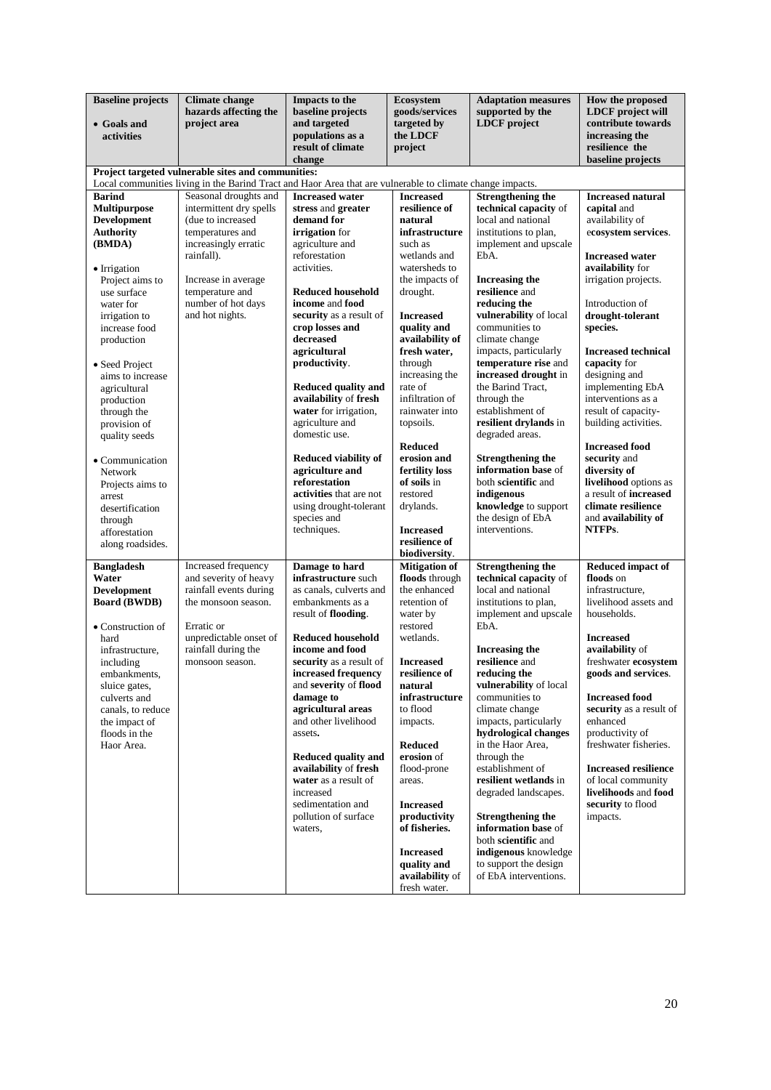| <b>Baseline</b> projects<br>• Goals and<br>activities | <b>Climate change</b><br>hazards affecting the<br>project area                                            | <b>Impacts to the</b><br>baseline projects<br>and targeted<br>populations as a | <b>Ecosystem</b><br>goods/services<br>targeted by<br>the LDCF | <b>Adaptation measures</b><br>supported by the<br><b>LDCF</b> project | How the proposed<br><b>LDCF</b> project will<br>contribute towards<br>increasing the |
|-------------------------------------------------------|-----------------------------------------------------------------------------------------------------------|--------------------------------------------------------------------------------|---------------------------------------------------------------|-----------------------------------------------------------------------|--------------------------------------------------------------------------------------|
|                                                       |                                                                                                           | result of climate<br>change                                                    | project                                                       |                                                                       | resilience the<br>baseline projects                                                  |
|                                                       | Project targeted vulnerable sites and communities:                                                        |                                                                                |                                                               |                                                                       |                                                                                      |
|                                                       | Local communities living in the Barind Tract and Haor Area that are vulnerable to climate change impacts. | <b>Increased</b> water                                                         |                                                               | <b>Strengthening the</b>                                              | <b>Increased natural</b>                                                             |
| <b>Barind</b><br><b>Multipurpose</b>                  | Seasonal droughts and<br>intermittent dry spells                                                          | stress and greater                                                             | <b>Increased</b><br>resilience of                             | technical capacity of                                                 | capital and                                                                          |
| <b>Development</b>                                    | (due to increased                                                                                         | demand for                                                                     | natural                                                       | local and national                                                    | availability of                                                                      |
| <b>Authority</b>                                      | temperatures and                                                                                          | irrigation for                                                                 | infrastructure                                                | institutions to plan,                                                 | ecosystem services.                                                                  |
| (BMDA)                                                | increasingly erratic                                                                                      | agriculture and                                                                | such as                                                       | implement and upscale                                                 |                                                                                      |
|                                                       | rainfall).                                                                                                | reforestation<br>activities.                                                   | wetlands and<br>watersheds to                                 | EbA.                                                                  | <b>Increased water</b><br>availability for                                           |
| • Irrigation<br>Project aims to                       | Increase in average                                                                                       |                                                                                | the impacts of                                                | Increasing the                                                        | irrigation projects.                                                                 |
| use surface                                           | temperature and                                                                                           | <b>Reduced household</b>                                                       | drought.                                                      | resilience and                                                        |                                                                                      |
| water for                                             | number of hot days                                                                                        | income and food                                                                |                                                               | reducing the                                                          | Introduction of                                                                      |
| irrigation to                                         | and hot nights.                                                                                           | security as a result of                                                        | <b>Increased</b>                                              | vulnerability of local                                                | drought-tolerant                                                                     |
| increase food<br>production                           |                                                                                                           | crop losses and<br>decreased                                                   | quality and<br>availability of                                | communities to<br>climate change                                      | species.                                                                             |
|                                                       |                                                                                                           | agricultural                                                                   | fresh water,                                                  | impacts, particularly                                                 | <b>Increased technical</b>                                                           |
| • Seed Project                                        |                                                                                                           | productivity.                                                                  | through                                                       | temperature rise and                                                  | capacity for                                                                         |
| aims to increase                                      |                                                                                                           |                                                                                | increasing the                                                | increased drought in                                                  | designing and                                                                        |
| agricultural                                          |                                                                                                           | Reduced quality and<br>availability of fresh                                   | rate of<br>infiltration of                                    | the Barind Tract,<br>through the                                      | implementing EbA<br>interventions as a                                               |
| production<br>through the                             |                                                                                                           | water for irrigation,                                                          | rainwater into                                                | establishment of                                                      | result of capacity-                                                                  |
| provision of                                          |                                                                                                           | agriculture and                                                                | topsoils.                                                     | resilient drylands in                                                 | building activities.                                                                 |
| quality seeds                                         |                                                                                                           | domestic use.                                                                  |                                                               | degraded areas.                                                       |                                                                                      |
|                                                       |                                                                                                           |                                                                                | <b>Reduced</b>                                                |                                                                       | <b>Increased food</b>                                                                |
| • Communication                                       |                                                                                                           | <b>Reduced viability of</b><br>agriculture and                                 | erosion and<br>fertility loss                                 | <b>Strengthening the</b><br>information base of                       | security and<br>diversity of                                                         |
| Network<br>Projects aims to                           |                                                                                                           | reforestation                                                                  | of soils in                                                   | both scientific and                                                   | livelihood options as                                                                |
| arrest                                                |                                                                                                           | activities that are not                                                        | restored                                                      | indigenous                                                            | a result of increased                                                                |
| desertification                                       |                                                                                                           | using drought-tolerant                                                         | drylands.                                                     | knowledge to support                                                  | climate resilience                                                                   |
| through                                               |                                                                                                           | species and                                                                    |                                                               | the design of EbA                                                     | and availability of                                                                  |
| afforestation                                         |                                                                                                           | techniques.                                                                    | <b>Increased</b><br>resilience of                             | interventions.                                                        | NTFPs.                                                                               |
| along roadsides.                                      |                                                                                                           |                                                                                | biodiversity.                                                 |                                                                       |                                                                                      |
| <b>Bangladesh</b>                                     | Increased frequency                                                                                       | Damage to hard                                                                 | <b>Mitigation of</b>                                          | <b>Strengthening the</b>                                              | <b>Reduced impact of</b>                                                             |
| Water                                                 | and severity of heavy                                                                                     | infrastructure such                                                            | floods through                                                | technical capacity of                                                 | floods on                                                                            |
| <b>Development</b><br><b>Board (BWDB)</b>             | rainfall events during<br>the monsoon season.                                                             | as canals, culverts and<br>embankments as a                                    | the enhanced<br>retention of                                  | local and national<br>institutions to plan,                           | infrastructure,<br>livelihood assets and                                             |
|                                                       |                                                                                                           | result of flooding.                                                            | water by                                                      | implement and upscale                                                 | households.                                                                          |
| • Construction of                                     | Erratic or                                                                                                |                                                                                | restored                                                      | EbA.                                                                  |                                                                                      |
| hard                                                  | unpredictable onset of                                                                                    | <b>Reduced household</b>                                                       | wetlands.                                                     |                                                                       | <b>Increased</b>                                                                     |
| infrastructure,                                       | rainfall during the                                                                                       | income and food                                                                |                                                               | <b>Increasing the</b>                                                 | availability of                                                                      |
| including                                             | monsoon season.                                                                                           | security as a result of                                                        | <b>Increased</b><br>resilience of                             | resilience and<br>reducing the                                        | freshwater ecosystem                                                                 |
| embankments,<br>sluice gates,                         |                                                                                                           | increased frequency<br>and severity of flood                                   | natural                                                       | vulnerability of local                                                | goods and services.                                                                  |
| culverts and                                          |                                                                                                           | damage to                                                                      | infrastructure                                                | communities to                                                        | <b>Increased food</b>                                                                |
| canals, to reduce                                     |                                                                                                           | agricultural areas                                                             | to flood                                                      | climate change                                                        | security as a result of                                                              |
| the impact of                                         |                                                                                                           | and other livelihood                                                           | impacts.                                                      | impacts, particularly<br>hydrological changes                         | enhanced                                                                             |
| floods in the<br>Haor Area.                           |                                                                                                           | assets.                                                                        | <b>Reduced</b>                                                | in the Haor Area,                                                     | productivity of<br>freshwater fisheries.                                             |
|                                                       |                                                                                                           | Reduced quality and                                                            | erosion of                                                    | through the                                                           |                                                                                      |
|                                                       |                                                                                                           | availability of fresh                                                          | flood-prone                                                   | establishment of                                                      | <b>Increased resilience</b>                                                          |
|                                                       |                                                                                                           | water as a result of                                                           | areas.                                                        | resilient wetlands in                                                 | of local community                                                                   |
|                                                       |                                                                                                           | increased<br>sedimentation and                                                 | <b>Increased</b>                                              | degraded landscapes.                                                  | livelihoods and food<br>security to flood                                            |
|                                                       |                                                                                                           | pollution of surface                                                           | productivity                                                  | <b>Strengthening the</b>                                              | impacts.                                                                             |
|                                                       |                                                                                                           | waters,                                                                        | of fisheries.                                                 | information base of                                                   |                                                                                      |
|                                                       |                                                                                                           |                                                                                |                                                               | both scientific and                                                   |                                                                                      |
|                                                       |                                                                                                           |                                                                                | <b>Increased</b>                                              | indigenous knowledge                                                  |                                                                                      |
|                                                       |                                                                                                           |                                                                                | quality and<br>availability of                                | to support the design<br>of EbA interventions.                        |                                                                                      |
|                                                       |                                                                                                           |                                                                                | fresh water.                                                  |                                                                       |                                                                                      |